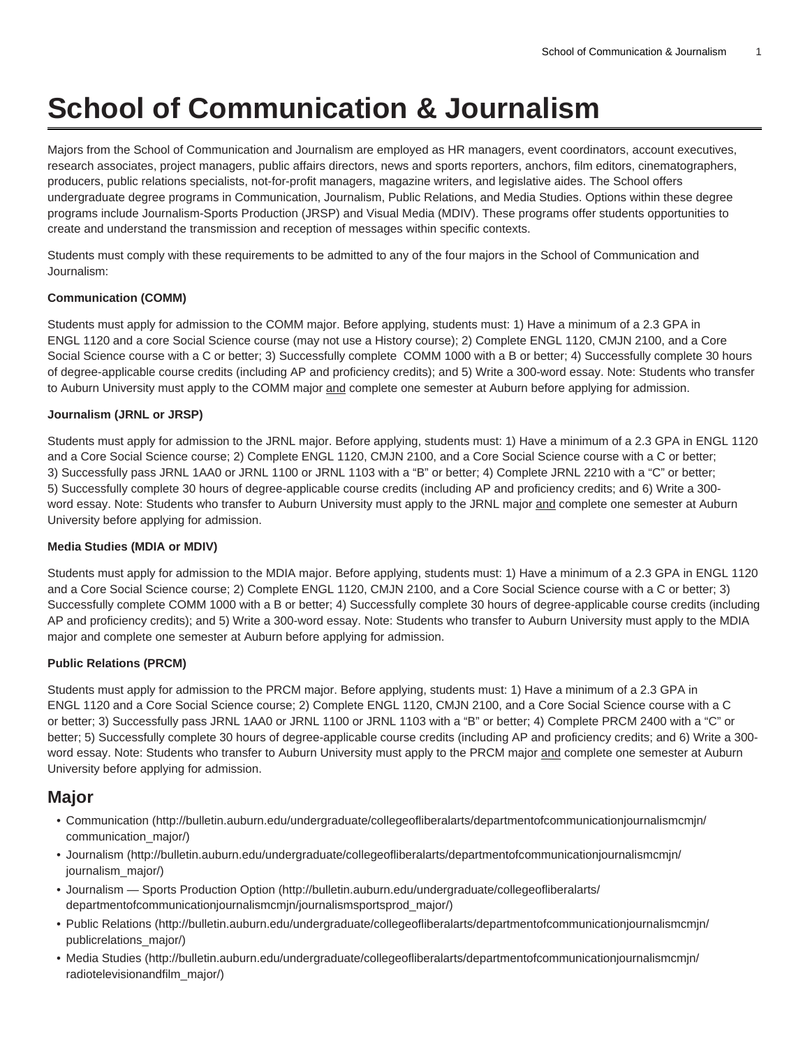# **School of Communication & Journalism**

Majors from the School of Communication and Journalism are employed as HR managers, event coordinators, account executives, research associates, project managers, public affairs directors, news and sports reporters, anchors, film editors, cinematographers, producers, public relations specialists, not-for-profit managers, magazine writers, and legislative aides. The School offers undergraduate degree programs in Communication, Journalism, Public Relations, and Media Studies. Options within these degree programs include Journalism-Sports Production (JRSP) and Visual Media (MDIV). These programs offer students opportunities to create and understand the transmission and reception of messages within specific contexts.

Students must comply with these requirements to be admitted to any of the four majors in the School of Communication and Journalism:

#### **Communication (COMM)**

Students must apply for admission to the COMM major. Before applying, students must: 1) Have a minimum of a 2.3 GPA in ENGL 1120 and a core Social Science course (may not use a History course); 2) Complete ENGL 1120, CMJN 2100, and a Core Social Science course with a C or better; 3) Successfully complete COMM 1000 with a B or better; 4) Successfully complete 30 hours of degree-applicable course credits (including AP and proficiency credits); and 5) Write a 300-word essay. Note: Students who transfer to Auburn University must apply to the COMM major and complete one semester at Auburn before applying for admission.

#### **Journalism (JRNL or JRSP)**

Students must apply for admission to the JRNL major. Before applying, students must: 1) Have a minimum of a 2.3 GPA in ENGL 1120 and a Core Social Science course; 2) Complete ENGL 1120, CMJN 2100, and a Core Social Science course with a C or better; 3) Successfully pass JRNL 1AA0 or JRNL 1100 or JRNL 1103 with a "B" or better; 4) Complete JRNL 2210 with a "C" or better; 5) Successfully complete 30 hours of degree-applicable course credits (including AP and proficiency credits; and 6) Write a 300 word essay. Note: Students who transfer to Auburn University must apply to the JRNL major and complete one semester at Auburn University before applying for admission.

#### **Media Studies (MDIA or MDIV)**

Students must apply for admission to the MDIA major. Before applying, students must: 1) Have a minimum of a 2.3 GPA in ENGL 1120 and a Core Social Science course; 2) Complete ENGL 1120, CMJN 2100, and a Core Social Science course with a C or better; 3) Successfully complete COMM 1000 with a B or better; 4) Successfully complete 30 hours of degree-applicable course credits (including AP and proficiency credits); and 5) Write a 300-word essay. Note: Students who transfer to Auburn University must apply to the MDIA major and complete one semester at Auburn before applying for admission.

#### **Public Relations (PRCM)**

Students must apply for admission to the PRCM major. Before applying, students must: 1) Have a minimum of a 2.3 GPA in ENGL 1120 and a Core Social Science course; 2) Complete ENGL 1120, CMJN 2100, and a Core Social Science course with a C or better; 3) Successfully pass JRNL 1AA0 or JRNL 1100 or JRNL 1103 with a "B" or better; 4) Complete PRCM 2400 with a "C" or better; 5) Successfully complete 30 hours of degree-applicable course credits (including AP and proficiency credits; and 6) Write a 300 word essay. Note: Students who transfer to Auburn University must apply to the PRCM major and complete one semester at Auburn University before applying for admission.

#### **Major**

- [Communication \(http://bulletin.auburn.edu/undergraduate/collegeofliberalarts/departmentofcommunicationjournalismcmjn/](http://bulletin.auburn.edu/undergraduate/collegeofliberalarts/departmentofcommunicationjournalismcmjn/communication_major/) [communication\\_major/\)](http://bulletin.auburn.edu/undergraduate/collegeofliberalarts/departmentofcommunicationjournalismcmjn/communication_major/)
- [Journalism \(http://bulletin.auburn.edu/undergraduate/collegeofliberalarts/departmentofcommunicationjournalismcmjn/](http://bulletin.auburn.edu/undergraduate/collegeofliberalarts/departmentofcommunicationjournalismcmjn/journalism_major/) [journalism\\_major/](http://bulletin.auburn.edu/undergraduate/collegeofliberalarts/departmentofcommunicationjournalismcmjn/journalism_major/))
- [Journalism Sports Production Option](http://bulletin.auburn.edu/undergraduate/collegeofliberalarts/departmentofcommunicationjournalismcmjn/journalismsportsprod_major/) ([http://bulletin.auburn.edu/undergraduate/collegeofliberalarts/](http://bulletin.auburn.edu/undergraduate/collegeofliberalarts/departmentofcommunicationjournalismcmjn/journalismsportsprod_major/) [departmentofcommunicationjournalismcmjn/journalismsportsprod\\_major/\)](http://bulletin.auburn.edu/undergraduate/collegeofliberalarts/departmentofcommunicationjournalismcmjn/journalismsportsprod_major/)
- [Public Relations \(http://bulletin.auburn.edu/undergraduate/collegeofliberalarts/departmentofcommunicationjournalismcmjn/](http://bulletin.auburn.edu/undergraduate/collegeofliberalarts/departmentofcommunicationjournalismcmjn/publicrelations_major/) [publicrelations\\_major/\)](http://bulletin.auburn.edu/undergraduate/collegeofliberalarts/departmentofcommunicationjournalismcmjn/publicrelations_major/)
- [Media Studies](http://bulletin.auburn.edu/undergraduate/collegeofliberalarts/departmentofcommunicationjournalismcmjn/radiotelevisionandfilm_major/) ([http://bulletin.auburn.edu/undergraduate/collegeofliberalarts/departmentofcommunicationjournalismcmjn/](http://bulletin.auburn.edu/undergraduate/collegeofliberalarts/departmentofcommunicationjournalismcmjn/radiotelevisionandfilm_major/) [radiotelevisionandfilm\\_major/\)](http://bulletin.auburn.edu/undergraduate/collegeofliberalarts/departmentofcommunicationjournalismcmjn/radiotelevisionandfilm_major/)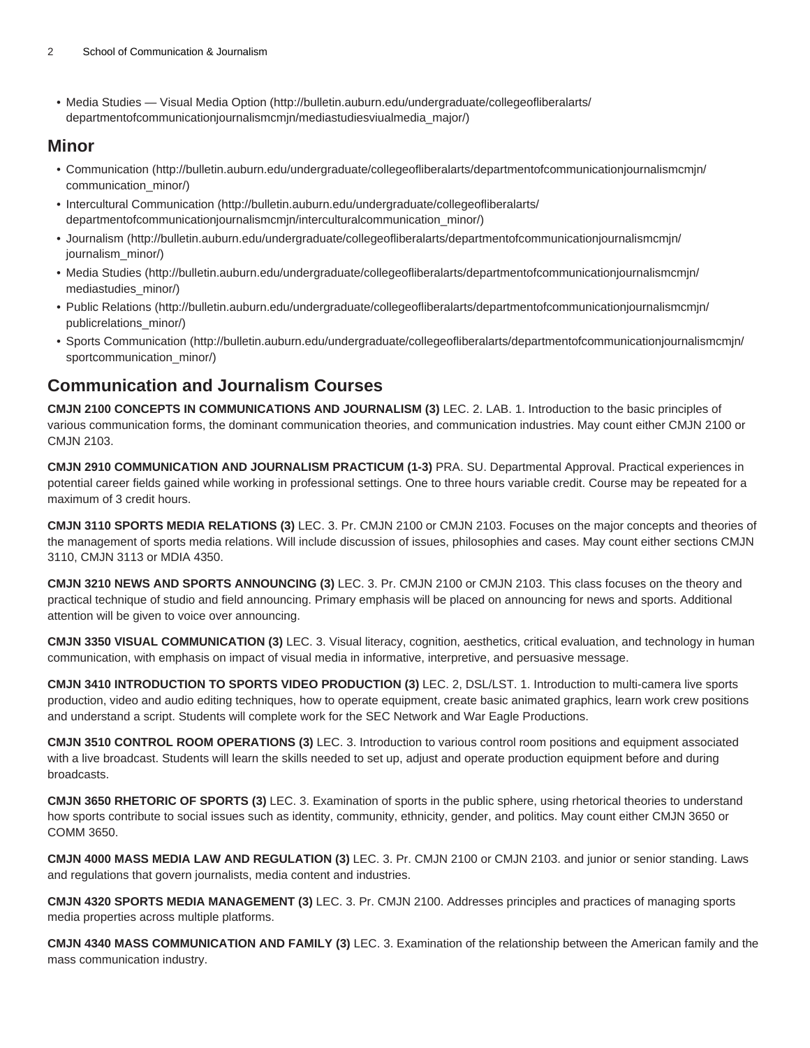• [Media Studies — Visual Media Option \(http://bulletin.auburn.edu/undergraduate/collegeofliberalarts/](http://bulletin.auburn.edu/undergraduate/collegeofliberalarts/departmentofcommunicationjournalismcmjn/mediastudiesviualmedia_major/) [departmentofcommunicationjournalismcmjn/mediastudiesviualmedia\\_major/](http://bulletin.auburn.edu/undergraduate/collegeofliberalarts/departmentofcommunicationjournalismcmjn/mediastudiesviualmedia_major/))

#### **Minor**

- [Communication \(http://bulletin.auburn.edu/undergraduate/collegeofliberalarts/departmentofcommunicationjournalismcmjn/](http://bulletin.auburn.edu/undergraduate/collegeofliberalarts/departmentofcommunicationjournalismcmjn/communication_minor/) [communication\\_minor/\)](http://bulletin.auburn.edu/undergraduate/collegeofliberalarts/departmentofcommunicationjournalismcmjn/communication_minor/)
- [Intercultural Communication](http://bulletin.auburn.edu/undergraduate/collegeofliberalarts/departmentofcommunicationjournalismcmjn/interculturalcommunication_minor/) ([http://bulletin.auburn.edu/undergraduate/collegeofliberalarts/](http://bulletin.auburn.edu/undergraduate/collegeofliberalarts/departmentofcommunicationjournalismcmjn/interculturalcommunication_minor/) [departmentofcommunicationjournalismcmjn/interculturalcommunication\\_minor/](http://bulletin.auburn.edu/undergraduate/collegeofliberalarts/departmentofcommunicationjournalismcmjn/interculturalcommunication_minor/))
- [Journalism \(http://bulletin.auburn.edu/undergraduate/collegeofliberalarts/departmentofcommunicationjournalismcmjn/](http://bulletin.auburn.edu/undergraduate/collegeofliberalarts/departmentofcommunicationjournalismcmjn/journalism_minor/) [journalism\\_minor/](http://bulletin.auburn.edu/undergraduate/collegeofliberalarts/departmentofcommunicationjournalismcmjn/journalism_minor/))
- [Media Studies](http://bulletin.auburn.edu/undergraduate/collegeofliberalarts/departmentofcommunicationjournalismcmjn/mediastudies_minor/) ([http://bulletin.auburn.edu/undergraduate/collegeofliberalarts/departmentofcommunicationjournalismcmjn/](http://bulletin.auburn.edu/undergraduate/collegeofliberalarts/departmentofcommunicationjournalismcmjn/mediastudies_minor/) [mediastudies\\_minor/](http://bulletin.auburn.edu/undergraduate/collegeofliberalarts/departmentofcommunicationjournalismcmjn/mediastudies_minor/))
- [Public Relations \(http://bulletin.auburn.edu/undergraduate/collegeofliberalarts/departmentofcommunicationjournalismcmjn/](http://bulletin.auburn.edu/undergraduate/collegeofliberalarts/departmentofcommunicationjournalismcmjn/publicrelations_minor/) [publicrelations\\_minor/\)](http://bulletin.auburn.edu/undergraduate/collegeofliberalarts/departmentofcommunicationjournalismcmjn/publicrelations_minor/)
- [Sports Communication](http://bulletin.auburn.edu/undergraduate/collegeofliberalarts/departmentofcommunicationjournalismcmjn/sportcommunication_minor/) ([http://bulletin.auburn.edu/undergraduate/collegeofliberalarts/departmentofcommunicationjournalismcmjn/](http://bulletin.auburn.edu/undergraduate/collegeofliberalarts/departmentofcommunicationjournalismcmjn/sportcommunication_minor/) [sportcommunication\\_minor/\)](http://bulletin.auburn.edu/undergraduate/collegeofliberalarts/departmentofcommunicationjournalismcmjn/sportcommunication_minor/)

## **Communication and Journalism Courses**

**CMJN 2100 CONCEPTS IN COMMUNICATIONS AND JOURNALISM (3)** LEC. 2. LAB. 1. Introduction to the basic principles of various communication forms, the dominant communication theories, and communication industries. May count either CMJN 2100 or CMJN 2103.

**CMJN 2910 COMMUNICATION AND JOURNALISM PRACTICUM (1-3)** PRA. SU. Departmental Approval. Practical experiences in potential career fields gained while working in professional settings. One to three hours variable credit. Course may be repeated for a maximum of 3 credit hours.

**CMJN 3110 SPORTS MEDIA RELATIONS (3)** LEC. 3. Pr. CMJN 2100 or CMJN 2103. Focuses on the major concepts and theories of the management of sports media relations. Will include discussion of issues, philosophies and cases. May count either sections CMJN 3110, CMJN 3113 or MDIA 4350.

**CMJN 3210 NEWS AND SPORTS ANNOUNCING (3)** LEC. 3. Pr. CMJN 2100 or CMJN 2103. This class focuses on the theory and practical technique of studio and field announcing. Primary emphasis will be placed on announcing for news and sports. Additional attention will be given to voice over announcing.

**CMJN 3350 VISUAL COMMUNICATION (3)** LEC. 3. Visual literacy, cognition, aesthetics, critical evaluation, and technology in human communication, with emphasis on impact of visual media in informative, interpretive, and persuasive message.

**CMJN 3410 INTRODUCTION TO SPORTS VIDEO PRODUCTION (3)** LEC. 2, DSL/LST. 1. Introduction to multi-camera live sports production, video and audio editing techniques, how to operate equipment, create basic animated graphics, learn work crew positions and understand a script. Students will complete work for the SEC Network and War Eagle Productions.

**CMJN 3510 CONTROL ROOM OPERATIONS (3)** LEC. 3. Introduction to various control room positions and equipment associated with a live broadcast. Students will learn the skills needed to set up, adjust and operate production equipment before and during broadcasts.

**CMJN 3650 RHETORIC OF SPORTS (3)** LEC. 3. Examination of sports in the public sphere, using rhetorical theories to understand how sports contribute to social issues such as identity, community, ethnicity, gender, and politics. May count either CMJN 3650 or COMM 3650.

**CMJN 4000 MASS MEDIA LAW AND REGULATION (3)** LEC. 3. Pr. CMJN 2100 or CMJN 2103. and junior or senior standing. Laws and regulations that govern journalists, media content and industries.

**CMJN 4320 SPORTS MEDIA MANAGEMENT (3)** LEC. 3. Pr. CMJN 2100. Addresses principles and practices of managing sports media properties across multiple platforms.

**CMJN 4340 MASS COMMUNICATION AND FAMILY (3)** LEC. 3. Examination of the relationship between the American family and the mass communication industry.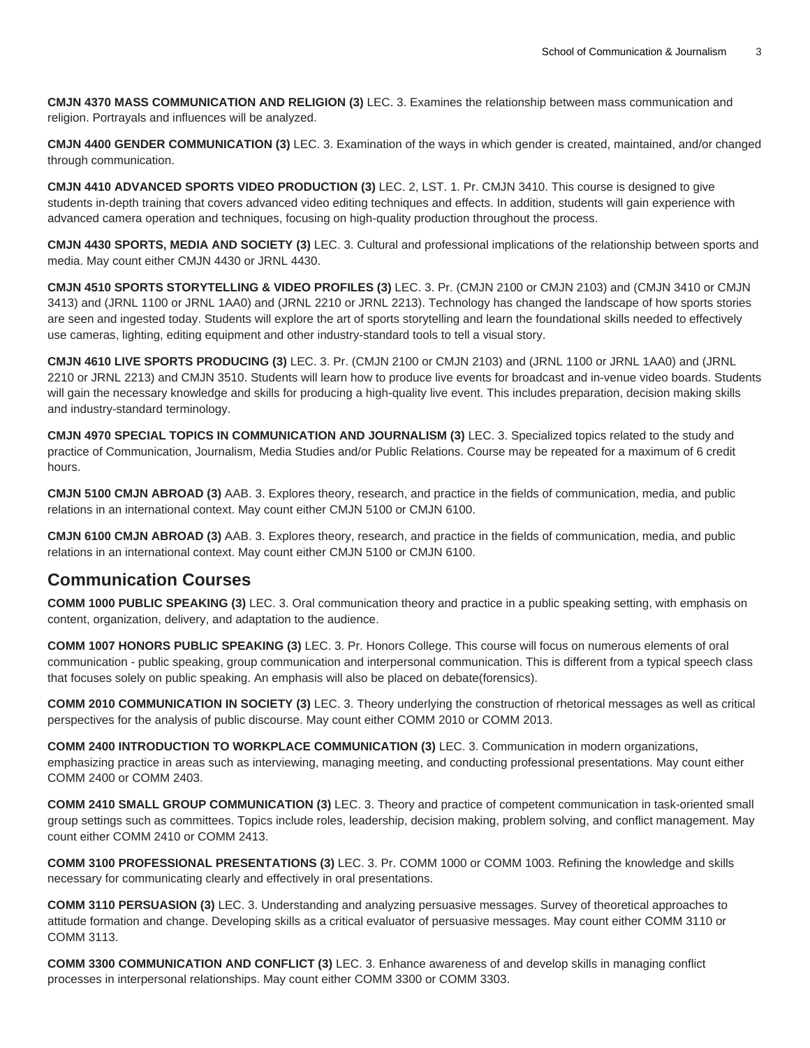**CMJN 4370 MASS COMMUNICATION AND RELIGION (3)** LEC. 3. Examines the relationship between mass communication and religion. Portrayals and influences will be analyzed.

**CMJN 4400 GENDER COMMUNICATION (3)** LEC. 3. Examination of the ways in which gender is created, maintained, and/or changed through communication.

**CMJN 4410 ADVANCED SPORTS VIDEO PRODUCTION (3)** LEC. 2, LST. 1. Pr. CMJN 3410. This course is designed to give students in-depth training that covers advanced video editing techniques and effects. In addition, students will gain experience with advanced camera operation and techniques, focusing on high-quality production throughout the process.

**CMJN 4430 SPORTS, MEDIA AND SOCIETY (3)** LEC. 3. Cultural and professional implications of the relationship between sports and media. May count either CMJN 4430 or JRNL 4430.

**CMJN 4510 SPORTS STORYTELLING & VIDEO PROFILES (3)** LEC. 3. Pr. (CMJN 2100 or CMJN 2103) and (CMJN 3410 or CMJN 3413) and (JRNL 1100 or JRNL 1AA0) and (JRNL 2210 or JRNL 2213). Technology has changed the landscape of how sports stories are seen and ingested today. Students will explore the art of sports storytelling and learn the foundational skills needed to effectively use cameras, lighting, editing equipment and other industry-standard tools to tell a visual story.

**CMJN 4610 LIVE SPORTS PRODUCING (3)** LEC. 3. Pr. (CMJN 2100 or CMJN 2103) and (JRNL 1100 or JRNL 1AA0) and (JRNL 2210 or JRNL 2213) and CMJN 3510. Students will learn how to produce live events for broadcast and in-venue video boards. Students will gain the necessary knowledge and skills for producing a high-quality live event. This includes preparation, decision making skills and industry-standard terminology.

**CMJN 4970 SPECIAL TOPICS IN COMMUNICATION AND JOURNALISM (3)** LEC. 3. Specialized topics related to the study and practice of Communication, Journalism, Media Studies and/or Public Relations. Course may be repeated for a maximum of 6 credit hours.

**CMJN 5100 CMJN ABROAD (3)** AAB. 3. Explores theory, research, and practice in the fields of communication, media, and public relations in an international context. May count either CMJN 5100 or CMJN 6100.

**CMJN 6100 CMJN ABROAD (3)** AAB. 3. Explores theory, research, and practice in the fields of communication, media, and public relations in an international context. May count either CMJN 5100 or CMJN 6100.

## **Communication Courses**

**COMM 1000 PUBLIC SPEAKING (3)** LEC. 3. Oral communication theory and practice in a public speaking setting, with emphasis on content, organization, delivery, and adaptation to the audience.

**COMM 1007 HONORS PUBLIC SPEAKING (3)** LEC. 3. Pr. Honors College. This course will focus on numerous elements of oral communication - public speaking, group communication and interpersonal communication. This is different from a typical speech class that focuses solely on public speaking. An emphasis will also be placed on debate(forensics).

**COMM 2010 COMMUNICATION IN SOCIETY (3)** LEC. 3. Theory underlying the construction of rhetorical messages as well as critical perspectives for the analysis of public discourse. May count either COMM 2010 or COMM 2013.

**COMM 2400 INTRODUCTION TO WORKPLACE COMMUNICATION (3)** LEC. 3. Communication in modern organizations, emphasizing practice in areas such as interviewing, managing meeting, and conducting professional presentations. May count either COMM 2400 or COMM 2403.

**COMM 2410 SMALL GROUP COMMUNICATION (3)** LEC. 3. Theory and practice of competent communication in task-oriented small group settings such as committees. Topics include roles, leadership, decision making, problem solving, and conflict management. May count either COMM 2410 or COMM 2413.

**COMM 3100 PROFESSIONAL PRESENTATIONS (3)** LEC. 3. Pr. COMM 1000 or COMM 1003. Refining the knowledge and skills necessary for communicating clearly and effectively in oral presentations.

**COMM 3110 PERSUASION (3)** LEC. 3. Understanding and analyzing persuasive messages. Survey of theoretical approaches to attitude formation and change. Developing skills as a critical evaluator of persuasive messages. May count either COMM 3110 or COMM 3113.

**COMM 3300 COMMUNICATION AND CONFLICT (3)** LEC. 3. Enhance awareness of and develop skills in managing conflict processes in interpersonal relationships. May count either COMM 3300 or COMM 3303.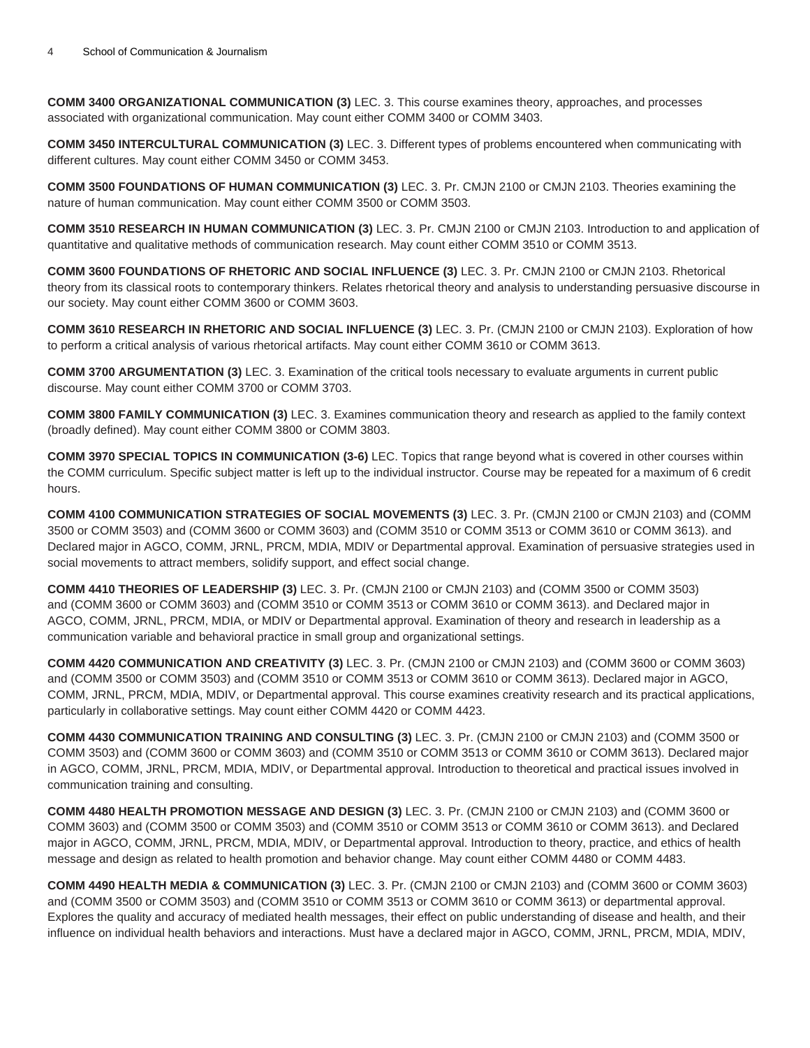**COMM 3400 ORGANIZATIONAL COMMUNICATION (3)** LEC. 3. This course examines theory, approaches, and processes associated with organizational communication. May count either COMM 3400 or COMM 3403.

**COMM 3450 INTERCULTURAL COMMUNICATION (3)** LEC. 3. Different types of problems encountered when communicating with different cultures. May count either COMM 3450 or COMM 3453.

**COMM 3500 FOUNDATIONS OF HUMAN COMMUNICATION (3)** LEC. 3. Pr. CMJN 2100 or CMJN 2103. Theories examining the nature of human communication. May count either COMM 3500 or COMM 3503.

**COMM 3510 RESEARCH IN HUMAN COMMUNICATION (3)** LEC. 3. Pr. CMJN 2100 or CMJN 2103. Introduction to and application of quantitative and qualitative methods of communication research. May count either COMM 3510 or COMM 3513.

**COMM 3600 FOUNDATIONS OF RHETORIC AND SOCIAL INFLUENCE (3)** LEC. 3. Pr. CMJN 2100 or CMJN 2103. Rhetorical theory from its classical roots to contemporary thinkers. Relates rhetorical theory and analysis to understanding persuasive discourse in our society. May count either COMM 3600 or COMM 3603.

**COMM 3610 RESEARCH IN RHETORIC AND SOCIAL INFLUENCE (3)** LEC. 3. Pr. (CMJN 2100 or CMJN 2103). Exploration of how to perform a critical analysis of various rhetorical artifacts. May count either COMM 3610 or COMM 3613.

**COMM 3700 ARGUMENTATION (3)** LEC. 3. Examination of the critical tools necessary to evaluate arguments in current public discourse. May count either COMM 3700 or COMM 3703.

**COMM 3800 FAMILY COMMUNICATION (3)** LEC. 3. Examines communication theory and research as applied to the family context (broadly defined). May count either COMM 3800 or COMM 3803.

**COMM 3970 SPECIAL TOPICS IN COMMUNICATION (3-6)** LEC. Topics that range beyond what is covered in other courses within the COMM curriculum. Specific subject matter is left up to the individual instructor. Course may be repeated for a maximum of 6 credit hours.

**COMM 4100 COMMUNICATION STRATEGIES OF SOCIAL MOVEMENTS (3)** LEC. 3. Pr. (CMJN 2100 or CMJN 2103) and (COMM 3500 or COMM 3503) and (COMM 3600 or COMM 3603) and (COMM 3510 or COMM 3513 or COMM 3610 or COMM 3613). and Declared major in AGCO, COMM, JRNL, PRCM, MDIA, MDIV or Departmental approval. Examination of persuasive strategies used in social movements to attract members, solidify support, and effect social change.

**COMM 4410 THEORIES OF LEADERSHIP (3)** LEC. 3. Pr. (CMJN 2100 or CMJN 2103) and (COMM 3500 or COMM 3503) and (COMM 3600 or COMM 3603) and (COMM 3510 or COMM 3513 or COMM 3610 or COMM 3613). and Declared major in AGCO, COMM, JRNL, PRCM, MDIA, or MDIV or Departmental approval. Examination of theory and research in leadership as a communication variable and behavioral practice in small group and organizational settings.

**COMM 4420 COMMUNICATION AND CREATIVITY (3)** LEC. 3. Pr. (CMJN 2100 or CMJN 2103) and (COMM 3600 or COMM 3603) and (COMM 3500 or COMM 3503) and (COMM 3510 or COMM 3513 or COMM 3610 or COMM 3613). Declared major in AGCO, COMM, JRNL, PRCM, MDIA, MDIV, or Departmental approval. This course examines creativity research and its practical applications, particularly in collaborative settings. May count either COMM 4420 or COMM 4423.

**COMM 4430 COMMUNICATION TRAINING AND CONSULTING (3)** LEC. 3. Pr. (CMJN 2100 or CMJN 2103) and (COMM 3500 or COMM 3503) and (COMM 3600 or COMM 3603) and (COMM 3510 or COMM 3513 or COMM 3610 or COMM 3613). Declared major in AGCO, COMM, JRNL, PRCM, MDIA, MDIV, or Departmental approval. Introduction to theoretical and practical issues involved in communication training and consulting.

**COMM 4480 HEALTH PROMOTION MESSAGE AND DESIGN (3)** LEC. 3. Pr. (CMJN 2100 or CMJN 2103) and (COMM 3600 or COMM 3603) and (COMM 3500 or COMM 3503) and (COMM 3510 or COMM 3513 or COMM 3610 or COMM 3613). and Declared major in AGCO, COMM, JRNL, PRCM, MDIA, MDIV, or Departmental approval. Introduction to theory, practice, and ethics of health message and design as related to health promotion and behavior change. May count either COMM 4480 or COMM 4483.

**COMM 4490 HEALTH MEDIA & COMMUNICATION (3)** LEC. 3. Pr. (CMJN 2100 or CMJN 2103) and (COMM 3600 or COMM 3603) and (COMM 3500 or COMM 3503) and (COMM 3510 or COMM 3513 or COMM 3610 or COMM 3613) or departmental approval. Explores the quality and accuracy of mediated health messages, their effect on public understanding of disease and health, and their influence on individual health behaviors and interactions. Must have a declared major in AGCO, COMM, JRNL, PRCM, MDIA, MDIV,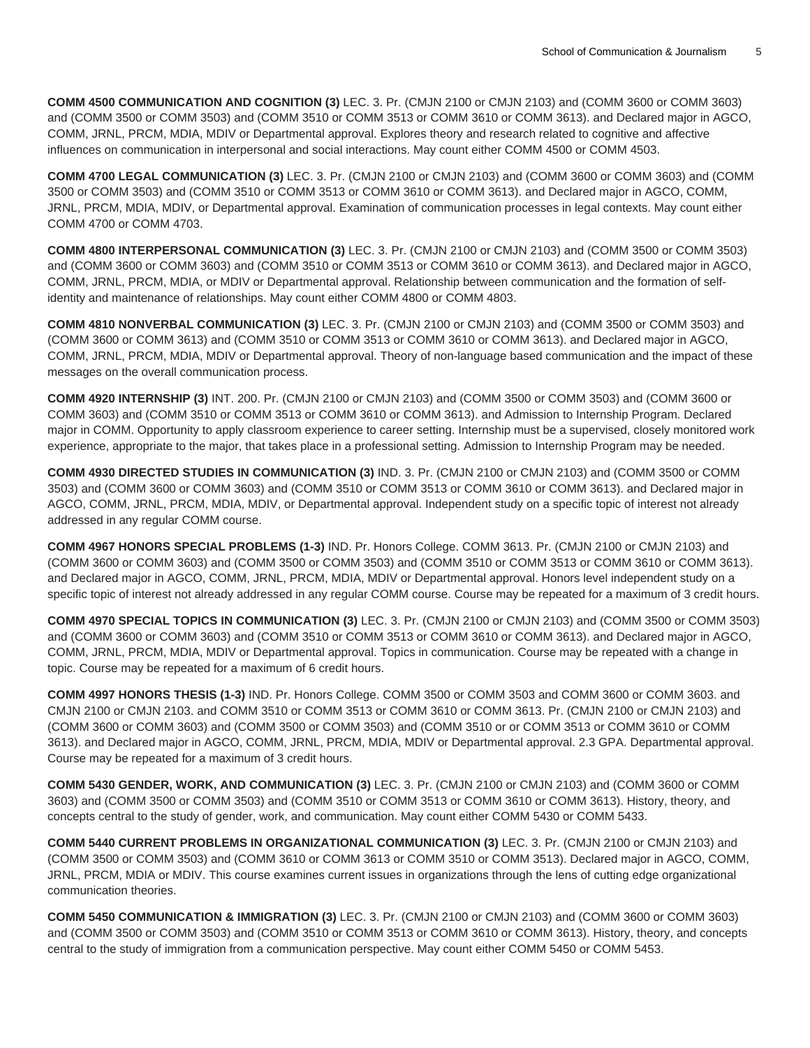**COMM 4500 COMMUNICATION AND COGNITION (3)** LEC. 3. Pr. (CMJN 2100 or CMJN 2103) and (COMM 3600 or COMM 3603) and (COMM 3500 or COMM 3503) and (COMM 3510 or COMM 3513 or COMM 3610 or COMM 3613). and Declared major in AGCO, COMM, JRNL, PRCM, MDIA, MDIV or Departmental approval. Explores theory and research related to cognitive and affective influences on communication in interpersonal and social interactions. May count either COMM 4500 or COMM 4503.

**COMM 4700 LEGAL COMMUNICATION (3)** LEC. 3. Pr. (CMJN 2100 or CMJN 2103) and (COMM 3600 or COMM 3603) and (COMM 3500 or COMM 3503) and (COMM 3510 or COMM 3513 or COMM 3610 or COMM 3613). and Declared major in AGCO, COMM, JRNL, PRCM, MDIA, MDIV, or Departmental approval. Examination of communication processes in legal contexts. May count either COMM 4700 or COMM 4703.

**COMM 4800 INTERPERSONAL COMMUNICATION (3)** LEC. 3. Pr. (CMJN 2100 or CMJN 2103) and (COMM 3500 or COMM 3503) and (COMM 3600 or COMM 3603) and (COMM 3510 or COMM 3513 or COMM 3610 or COMM 3613). and Declared major in AGCO, COMM, JRNL, PRCM, MDIA, or MDIV or Departmental approval. Relationship between communication and the formation of selfidentity and maintenance of relationships. May count either COMM 4800 or COMM 4803.

**COMM 4810 NONVERBAL COMMUNICATION (3)** LEC. 3. Pr. (CMJN 2100 or CMJN 2103) and (COMM 3500 or COMM 3503) and (COMM 3600 or COMM 3613) and (COMM 3510 or COMM 3513 or COMM 3610 or COMM 3613). and Declared major in AGCO, COMM, JRNL, PRCM, MDIA, MDIV or Departmental approval. Theory of non-language based communication and the impact of these messages on the overall communication process.

**COMM 4920 INTERNSHIP (3)** INT. 200. Pr. (CMJN 2100 or CMJN 2103) and (COMM 3500 or COMM 3503) and (COMM 3600 or COMM 3603) and (COMM 3510 or COMM 3513 or COMM 3610 or COMM 3613). and Admission to Internship Program. Declared major in COMM. Opportunity to apply classroom experience to career setting. Internship must be a supervised, closely monitored work experience, appropriate to the major, that takes place in a professional setting. Admission to Internship Program may be needed.

**COMM 4930 DIRECTED STUDIES IN COMMUNICATION (3)** IND. 3. Pr. (CMJN 2100 or CMJN 2103) and (COMM 3500 or COMM 3503) and (COMM 3600 or COMM 3603) and (COMM 3510 or COMM 3513 or COMM 3610 or COMM 3613). and Declared major in AGCO, COMM, JRNL, PRCM, MDIA, MDIV, or Departmental approval. Independent study on a specific topic of interest not already addressed in any regular COMM course.

**COMM 4967 HONORS SPECIAL PROBLEMS (1-3)** IND. Pr. Honors College. COMM 3613. Pr. (CMJN 2100 or CMJN 2103) and (COMM 3600 or COMM 3603) and (COMM 3500 or COMM 3503) and (COMM 3510 or COMM 3513 or COMM 3610 or COMM 3613). and Declared major in AGCO, COMM, JRNL, PRCM, MDIA, MDIV or Departmental approval. Honors level independent study on a specific topic of interest not already addressed in any regular COMM course. Course may be repeated for a maximum of 3 credit hours.

**COMM 4970 SPECIAL TOPICS IN COMMUNICATION (3)** LEC. 3. Pr. (CMJN 2100 or CMJN 2103) and (COMM 3500 or COMM 3503) and (COMM 3600 or COMM 3603) and (COMM 3510 or COMM 3513 or COMM 3610 or COMM 3613). and Declared major in AGCO, COMM, JRNL, PRCM, MDIA, MDIV or Departmental approval. Topics in communication. Course may be repeated with a change in topic. Course may be repeated for a maximum of 6 credit hours.

**COMM 4997 HONORS THESIS (1-3)** IND. Pr. Honors College. COMM 3500 or COMM 3503 and COMM 3600 or COMM 3603. and CMJN 2100 or CMJN 2103. and COMM 3510 or COMM 3513 or COMM 3610 or COMM 3613. Pr. (CMJN 2100 or CMJN 2103) and (COMM 3600 or COMM 3603) and (COMM 3500 or COMM 3503) and (COMM 3510 or or COMM 3513 or COMM 3610 or COMM 3613). and Declared major in AGCO, COMM, JRNL, PRCM, MDIA, MDIV or Departmental approval. 2.3 GPA. Departmental approval. Course may be repeated for a maximum of 3 credit hours.

**COMM 5430 GENDER, WORK, AND COMMUNICATION (3)** LEC. 3. Pr. (CMJN 2100 or CMJN 2103) and (COMM 3600 or COMM 3603) and (COMM 3500 or COMM 3503) and (COMM 3510 or COMM 3513 or COMM 3610 or COMM 3613). History, theory, and concepts central to the study of gender, work, and communication. May count either COMM 5430 or COMM 5433.

**COMM 5440 CURRENT PROBLEMS IN ORGANIZATIONAL COMMUNICATION (3)** LEC. 3. Pr. (CMJN 2100 or CMJN 2103) and (COMM 3500 or COMM 3503) and (COMM 3610 or COMM 3613 or COMM 3510 or COMM 3513). Declared major in AGCO, COMM, JRNL, PRCM, MDIA or MDIV. This course examines current issues in organizations through the lens of cutting edge organizational communication theories.

**COMM 5450 COMMUNICATION & IMMIGRATION (3)** LEC. 3. Pr. (CMJN 2100 or CMJN 2103) and (COMM 3600 or COMM 3603) and (COMM 3500 or COMM 3503) and (COMM 3510 or COMM 3513 or COMM 3610 or COMM 3613). History, theory, and concepts central to the study of immigration from a communication perspective. May count either COMM 5450 or COMM 5453.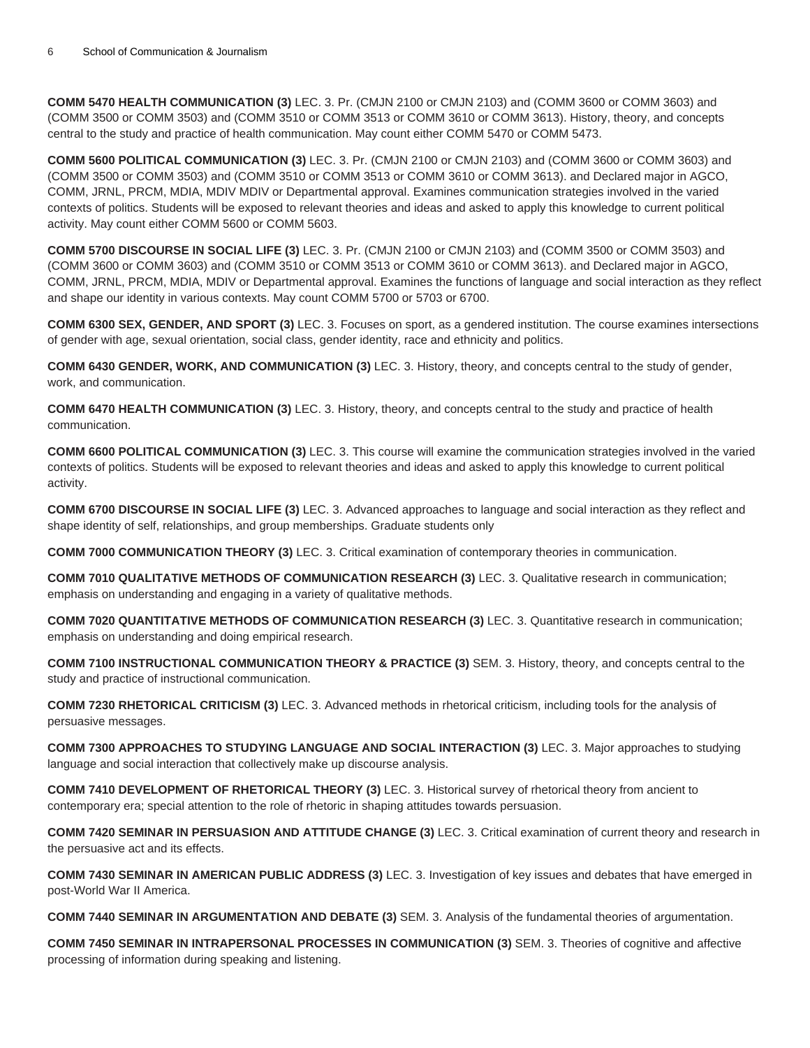**COMM 5470 HEALTH COMMUNICATION (3)** LEC. 3. Pr. (CMJN 2100 or CMJN 2103) and (COMM 3600 or COMM 3603) and (COMM 3500 or COMM 3503) and (COMM 3510 or COMM 3513 or COMM 3610 or COMM 3613). History, theory, and concepts central to the study and practice of health communication. May count either COMM 5470 or COMM 5473.

**COMM 5600 POLITICAL COMMUNICATION (3)** LEC. 3. Pr. (CMJN 2100 or CMJN 2103) and (COMM 3600 or COMM 3603) and (COMM 3500 or COMM 3503) and (COMM 3510 or COMM 3513 or COMM 3610 or COMM 3613). and Declared major in AGCO, COMM, JRNL, PRCM, MDIA, MDIV MDIV or Departmental approval. Examines communication strategies involved in the varied contexts of politics. Students will be exposed to relevant theories and ideas and asked to apply this knowledge to current political activity. May count either COMM 5600 or COMM 5603.

**COMM 5700 DISCOURSE IN SOCIAL LIFE (3)** LEC. 3. Pr. (CMJN 2100 or CMJN 2103) and (COMM 3500 or COMM 3503) and (COMM 3600 or COMM 3603) and (COMM 3510 or COMM 3513 or COMM 3610 or COMM 3613). and Declared major in AGCO, COMM, JRNL, PRCM, MDIA, MDIV or Departmental approval. Examines the functions of language and social interaction as they reflect and shape our identity in various contexts. May count COMM 5700 or 5703 or 6700.

**COMM 6300 SEX, GENDER, AND SPORT (3)** LEC. 3. Focuses on sport, as a gendered institution. The course examines intersections of gender with age, sexual orientation, social class, gender identity, race and ethnicity and politics.

**COMM 6430 GENDER, WORK, AND COMMUNICATION (3)** LEC. 3. History, theory, and concepts central to the study of gender, work, and communication.

**COMM 6470 HEALTH COMMUNICATION (3)** LEC. 3. History, theory, and concepts central to the study and practice of health communication.

**COMM 6600 POLITICAL COMMUNICATION (3)** LEC. 3. This course will examine the communication strategies involved in the varied contexts of politics. Students will be exposed to relevant theories and ideas and asked to apply this knowledge to current political activity.

**COMM 6700 DISCOURSE IN SOCIAL LIFE (3)** LEC. 3. Advanced approaches to language and social interaction as they reflect and shape identity of self, relationships, and group memberships. Graduate students only

**COMM 7000 COMMUNICATION THEORY (3)** LEC. 3. Critical examination of contemporary theories in communication.

**COMM 7010 QUALITATIVE METHODS OF COMMUNICATION RESEARCH (3)** LEC. 3. Qualitative research in communication; emphasis on understanding and engaging in a variety of qualitative methods.

**COMM 7020 QUANTITATIVE METHODS OF COMMUNICATION RESEARCH (3)** LEC. 3. Quantitative research in communication; emphasis on understanding and doing empirical research.

**COMM 7100 INSTRUCTIONAL COMMUNICATION THEORY & PRACTICE (3)** SEM. 3. History, theory, and concepts central to the study and practice of instructional communication.

**COMM 7230 RHETORICAL CRITICISM (3)** LEC. 3. Advanced methods in rhetorical criticism, including tools for the analysis of persuasive messages.

**COMM 7300 APPROACHES TO STUDYING LANGUAGE AND SOCIAL INTERACTION (3)** LEC. 3. Major approaches to studying language and social interaction that collectively make up discourse analysis.

**COMM 7410 DEVELOPMENT OF RHETORICAL THEORY (3)** LEC. 3. Historical survey of rhetorical theory from ancient to contemporary era; special attention to the role of rhetoric in shaping attitudes towards persuasion.

**COMM 7420 SEMINAR IN PERSUASION AND ATTITUDE CHANGE (3)** LEC. 3. Critical examination of current theory and research in the persuasive act and its effects.

**COMM 7430 SEMINAR IN AMERICAN PUBLIC ADDRESS (3)** LEC. 3. Investigation of key issues and debates that have emerged in post-World War II America.

**COMM 7440 SEMINAR IN ARGUMENTATION AND DEBATE (3)** SEM. 3. Analysis of the fundamental theories of argumentation.

**COMM 7450 SEMINAR IN INTRAPERSONAL PROCESSES IN COMMUNICATION (3)** SEM. 3. Theories of cognitive and affective processing of information during speaking and listening.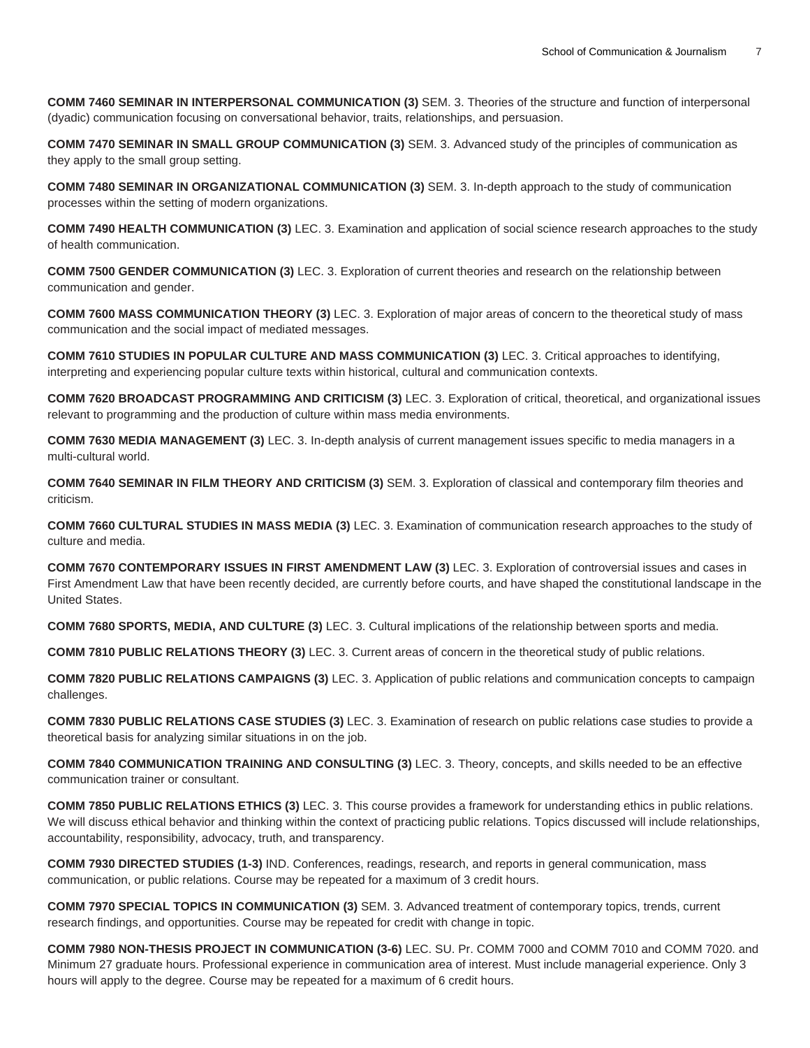**COMM 7460 SEMINAR IN INTERPERSONAL COMMUNICATION (3)** SEM. 3. Theories of the structure and function of interpersonal (dyadic) communication focusing on conversational behavior, traits, relationships, and persuasion.

**COMM 7470 SEMINAR IN SMALL GROUP COMMUNICATION (3)** SEM. 3. Advanced study of the principles of communication as they apply to the small group setting.

**COMM 7480 SEMINAR IN ORGANIZATIONAL COMMUNICATION (3)** SEM. 3. In-depth approach to the study of communication processes within the setting of modern organizations.

**COMM 7490 HEALTH COMMUNICATION (3)** LEC. 3. Examination and application of social science research approaches to the study of health communication.

**COMM 7500 GENDER COMMUNICATION (3)** LEC. 3. Exploration of current theories and research on the relationship between communication and gender.

**COMM 7600 MASS COMMUNICATION THEORY (3)** LEC. 3. Exploration of major areas of concern to the theoretical study of mass communication and the social impact of mediated messages.

**COMM 7610 STUDIES IN POPULAR CULTURE AND MASS COMMUNICATION (3)** LEC. 3. Critical approaches to identifying, interpreting and experiencing popular culture texts within historical, cultural and communication contexts.

**COMM 7620 BROADCAST PROGRAMMING AND CRITICISM (3)** LEC. 3. Exploration of critical, theoretical, and organizational issues relevant to programming and the production of culture within mass media environments.

**COMM 7630 MEDIA MANAGEMENT (3)** LEC. 3. In-depth analysis of current management issues specific to media managers in a multi-cultural world.

**COMM 7640 SEMINAR IN FILM THEORY AND CRITICISM (3)** SEM. 3. Exploration of classical and contemporary film theories and criticism.

**COMM 7660 CULTURAL STUDIES IN MASS MEDIA (3)** LEC. 3. Examination of communication research approaches to the study of culture and media.

**COMM 7670 CONTEMPORARY ISSUES IN FIRST AMENDMENT LAW (3)** LEC. 3. Exploration of controversial issues and cases in First Amendment Law that have been recently decided, are currently before courts, and have shaped the constitutional landscape in the United States.

**COMM 7680 SPORTS, MEDIA, AND CULTURE (3)** LEC. 3. Cultural implications of the relationship between sports and media.

**COMM 7810 PUBLIC RELATIONS THEORY (3)** LEC. 3. Current areas of concern in the theoretical study of public relations.

**COMM 7820 PUBLIC RELATIONS CAMPAIGNS (3)** LEC. 3. Application of public relations and communication concepts to campaign challenges.

**COMM 7830 PUBLIC RELATIONS CASE STUDIES (3)** LEC. 3. Examination of research on public relations case studies to provide a theoretical basis for analyzing similar situations in on the job.

**COMM 7840 COMMUNICATION TRAINING AND CONSULTING (3)** LEC. 3. Theory, concepts, and skills needed to be an effective communication trainer or consultant.

**COMM 7850 PUBLIC RELATIONS ETHICS (3)** LEC. 3. This course provides a framework for understanding ethics in public relations. We will discuss ethical behavior and thinking within the context of practicing public relations. Topics discussed will include relationships, accountability, responsibility, advocacy, truth, and transparency.

**COMM 7930 DIRECTED STUDIES (1-3)** IND. Conferences, readings, research, and reports in general communication, mass communication, or public relations. Course may be repeated for a maximum of 3 credit hours.

**COMM 7970 SPECIAL TOPICS IN COMMUNICATION (3)** SEM. 3. Advanced treatment of contemporary topics, trends, current research findings, and opportunities. Course may be repeated for credit with change in topic.

**COMM 7980 NON-THESIS PROJECT IN COMMUNICATION (3-6)** LEC. SU. Pr. COMM 7000 and COMM 7010 and COMM 7020. and Minimum 27 graduate hours. Professional experience in communication area of interest. Must include managerial experience. Only 3 hours will apply to the degree. Course may be repeated for a maximum of 6 credit hours.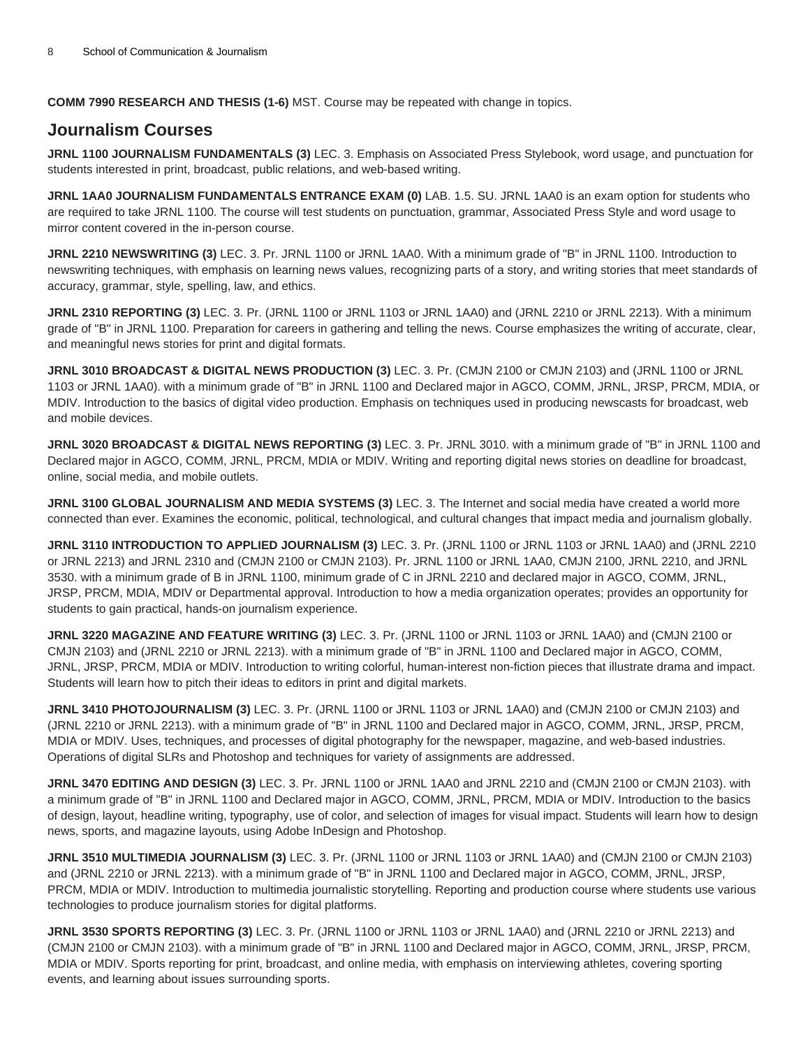**COMM 7990 RESEARCH AND THESIS (1-6)** MST. Course may be repeated with change in topics.

## **Journalism Courses**

**JRNL 1100 JOURNALISM FUNDAMENTALS (3)** LEC. 3. Emphasis on Associated Press Stylebook, word usage, and punctuation for students interested in print, broadcast, public relations, and web-based writing.

**JRNL 1AA0 JOURNALISM FUNDAMENTALS ENTRANCE EXAM (0)** LAB. 1.5. SU. JRNL 1AA0 is an exam option for students who are required to take JRNL 1100. The course will test students on punctuation, grammar, Associated Press Style and word usage to mirror content covered in the in-person course.

**JRNL 2210 NEWSWRITING (3)** LEC. 3. Pr. JRNL 1100 or JRNL 1AA0. With a minimum grade of "B" in JRNL 1100. Introduction to newswriting techniques, with emphasis on learning news values, recognizing parts of a story, and writing stories that meet standards of accuracy, grammar, style, spelling, law, and ethics.

**JRNL 2310 REPORTING (3)** LEC. 3. Pr. (JRNL 1100 or JRNL 1103 or JRNL 1AA0) and (JRNL 2210 or JRNL 2213). With a minimum grade of "B" in JRNL 1100. Preparation for careers in gathering and telling the news. Course emphasizes the writing of accurate, clear, and meaningful news stories for print and digital formats.

**JRNL 3010 BROADCAST & DIGITAL NEWS PRODUCTION (3)** LEC. 3. Pr. (CMJN 2100 or CMJN 2103) and (JRNL 1100 or JRNL 1103 or JRNL 1AA0). with a minimum grade of "B" in JRNL 1100 and Declared major in AGCO, COMM, JRNL, JRSP, PRCM, MDIA, or MDIV. Introduction to the basics of digital video production. Emphasis on techniques used in producing newscasts for broadcast, web and mobile devices.

**JRNL 3020 BROADCAST & DIGITAL NEWS REPORTING (3)** LEC. 3. Pr. JRNL 3010. with a minimum grade of "B" in JRNL 1100 and Declared major in AGCO, COMM, JRNL, PRCM, MDIA or MDIV. Writing and reporting digital news stories on deadline for broadcast, online, social media, and mobile outlets.

**JRNL 3100 GLOBAL JOURNALISM AND MEDIA SYSTEMS (3)** LEC. 3. The Internet and social media have created a world more connected than ever. Examines the economic, political, technological, and cultural changes that impact media and journalism globally.

**JRNL 3110 INTRODUCTION TO APPLIED JOURNALISM (3)** LEC. 3. Pr. (JRNL 1100 or JRNL 1103 or JRNL 1AA0) and (JRNL 2210 or JRNL 2213) and JRNL 2310 and (CMJN 2100 or CMJN 2103). Pr. JRNL 1100 or JRNL 1AA0, CMJN 2100, JRNL 2210, and JRNL 3530. with a minimum grade of B in JRNL 1100, minimum grade of C in JRNL 2210 and declared major in AGCO, COMM, JRNL, JRSP, PRCM, MDIA, MDIV or Departmental approval. Introduction to how a media organization operates; provides an opportunity for students to gain practical, hands-on journalism experience.

**JRNL 3220 MAGAZINE AND FEATURE WRITING (3)** LEC. 3. Pr. (JRNL 1100 or JRNL 1103 or JRNL 1AA0) and (CMJN 2100 or CMJN 2103) and (JRNL 2210 or JRNL 2213). with a minimum grade of "B" in JRNL 1100 and Declared major in AGCO, COMM, JRNL, JRSP, PRCM, MDIA or MDIV. Introduction to writing colorful, human-interest non-fiction pieces that illustrate drama and impact. Students will learn how to pitch their ideas to editors in print and digital markets.

**JRNL 3410 PHOTOJOURNALISM (3)** LEC. 3. Pr. (JRNL 1100 or JRNL 1103 or JRNL 1AA0) and (CMJN 2100 or CMJN 2103) and (JRNL 2210 or JRNL 2213). with a minimum grade of "B" in JRNL 1100 and Declared major in AGCO, COMM, JRNL, JRSP, PRCM, MDIA or MDIV. Uses, techniques, and processes of digital photography for the newspaper, magazine, and web-based industries. Operations of digital SLRs and Photoshop and techniques for variety of assignments are addressed.

**JRNL 3470 EDITING AND DESIGN (3)** LEC. 3. Pr. JRNL 1100 or JRNL 1AA0 and JRNL 2210 and (CMJN 2100 or CMJN 2103). with a minimum grade of "B" in JRNL 1100 and Declared major in AGCO, COMM, JRNL, PRCM, MDIA or MDIV. Introduction to the basics of design, layout, headline writing, typography, use of color, and selection of images for visual impact. Students will learn how to design news, sports, and magazine layouts, using Adobe InDesign and Photoshop.

**JRNL 3510 MULTIMEDIA JOURNALISM (3)** LEC. 3. Pr. (JRNL 1100 or JRNL 1103 or JRNL 1AA0) and (CMJN 2100 or CMJN 2103) and (JRNL 2210 or JRNL 2213). with a minimum grade of "B" in JRNL 1100 and Declared major in AGCO, COMM, JRNL, JRSP, PRCM, MDIA or MDIV. Introduction to multimedia journalistic storytelling. Reporting and production course where students use various technologies to produce journalism stories for digital platforms.

**JRNL 3530 SPORTS REPORTING (3)** LEC. 3. Pr. (JRNL 1100 or JRNL 1103 or JRNL 1AA0) and (JRNL 2210 or JRNL 2213) and (CMJN 2100 or CMJN 2103). with a minimum grade of "B" in JRNL 1100 and Declared major in AGCO, COMM, JRNL, JRSP, PRCM, MDIA or MDIV. Sports reporting for print, broadcast, and online media, with emphasis on interviewing athletes, covering sporting events, and learning about issues surrounding sports.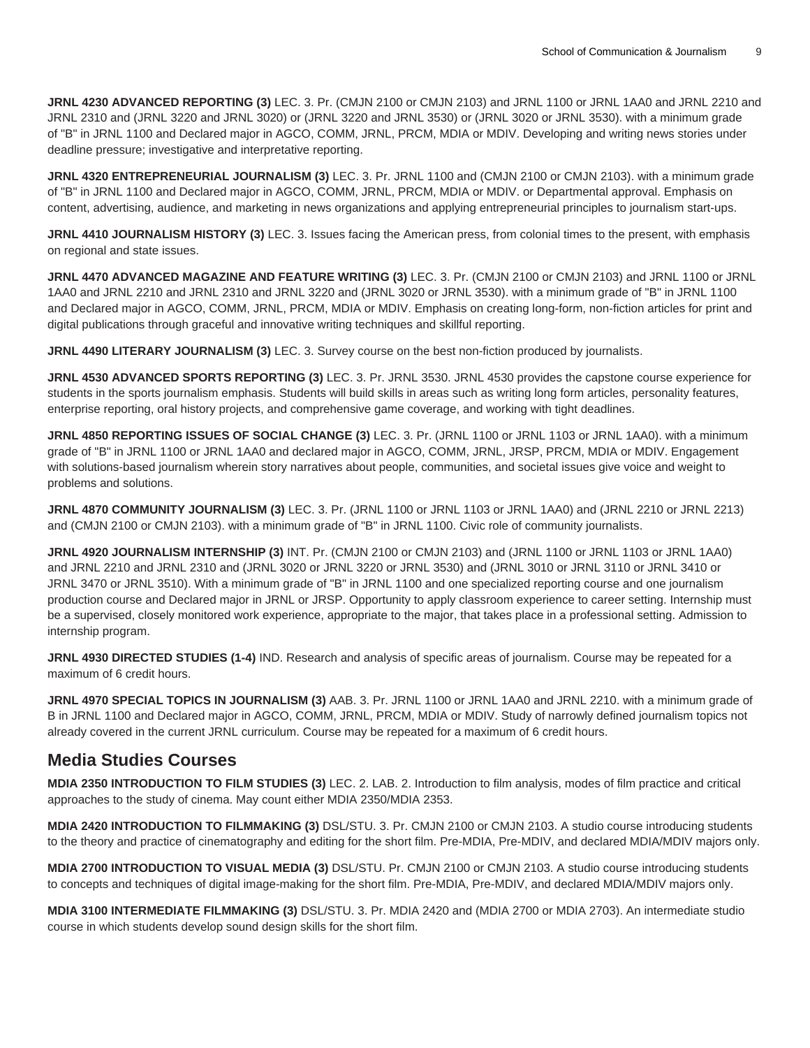**JRNL 4230 ADVANCED REPORTING (3)** LEC. 3. Pr. (CMJN 2100 or CMJN 2103) and JRNL 1100 or JRNL 1AA0 and JRNL 2210 and JRNL 2310 and (JRNL 3220 and JRNL 3020) or (JRNL 3220 and JRNL 3530) or (JRNL 3020 or JRNL 3530). with a minimum grade of "B" in JRNL 1100 and Declared major in AGCO, COMM, JRNL, PRCM, MDIA or MDIV. Developing and writing news stories under deadline pressure; investigative and interpretative reporting.

**JRNL 4320 ENTREPRENEURIAL JOURNALISM (3)** LEC. 3. Pr. JRNL 1100 and (CMJN 2100 or CMJN 2103). with a minimum grade of "B" in JRNL 1100 and Declared major in AGCO, COMM, JRNL, PRCM, MDIA or MDIV. or Departmental approval. Emphasis on content, advertising, audience, and marketing in news organizations and applying entrepreneurial principles to journalism start-ups.

**JRNL 4410 JOURNALISM HISTORY (3)** LEC. 3. Issues facing the American press, from colonial times to the present, with emphasis on regional and state issues.

**JRNL 4470 ADVANCED MAGAZINE AND FEATURE WRITING (3)** LEC. 3. Pr. (CMJN 2100 or CMJN 2103) and JRNL 1100 or JRNL 1AA0 and JRNL 2210 and JRNL 2310 and JRNL 3220 and (JRNL 3020 or JRNL 3530). with a minimum grade of "B" in JRNL 1100 and Declared major in AGCO, COMM, JRNL, PRCM, MDIA or MDIV. Emphasis on creating long-form, non-fiction articles for print and digital publications through graceful and innovative writing techniques and skillful reporting.

**JRNL 4490 LITERARY JOURNALISM (3)** LEC. 3. Survey course on the best non-fiction produced by journalists.

**JRNL 4530 ADVANCED SPORTS REPORTING (3)** LEC. 3. Pr. JRNL 3530. JRNL 4530 provides the capstone course experience for students in the sports journalism emphasis. Students will build skills in areas such as writing long form articles, personality features, enterprise reporting, oral history projects, and comprehensive game coverage, and working with tight deadlines.

**JRNL 4850 REPORTING ISSUES OF SOCIAL CHANGE (3)** LEC. 3. Pr. (JRNL 1100 or JRNL 1103 or JRNL 1AA0). with a minimum grade of "B" in JRNL 1100 or JRNL 1AA0 and declared major in AGCO, COMM, JRNL, JRSP, PRCM, MDIA or MDIV. Engagement with solutions-based journalism wherein story narratives about people, communities, and societal issues give voice and weight to problems and solutions.

**JRNL 4870 COMMUNITY JOURNALISM (3)** LEC. 3. Pr. (JRNL 1100 or JRNL 1103 or JRNL 1AA0) and (JRNL 2210 or JRNL 2213) and (CMJN 2100 or CMJN 2103). with a minimum grade of "B" in JRNL 1100. Civic role of community journalists.

**JRNL 4920 JOURNALISM INTERNSHIP (3)** INT. Pr. (CMJN 2100 or CMJN 2103) and (JRNL 1100 or JRNL 1103 or JRNL 1AA0) and JRNL 2210 and JRNL 2310 and (JRNL 3020 or JRNL 3220 or JRNL 3530) and (JRNL 3010 or JRNL 3110 or JRNL 3410 or JRNL 3470 or JRNL 3510). With a minimum grade of "B" in JRNL 1100 and one specialized reporting course and one journalism production course and Declared major in JRNL or JRSP. Opportunity to apply classroom experience to career setting. Internship must be a supervised, closely monitored work experience, appropriate to the major, that takes place in a professional setting. Admission to internship program.

**JRNL 4930 DIRECTED STUDIES (1-4)** IND. Research and analysis of specific areas of journalism. Course may be repeated for a maximum of 6 credit hours.

**JRNL 4970 SPECIAL TOPICS IN JOURNALISM (3)** AAB. 3. Pr. JRNL 1100 or JRNL 1AA0 and JRNL 2210. with a minimum grade of B in JRNL 1100 and Declared major in AGCO, COMM, JRNL, PRCM, MDIA or MDIV. Study of narrowly defined journalism topics not already covered in the current JRNL curriculum. Course may be repeated for a maximum of 6 credit hours.

## **Media Studies Courses**

**MDIA 2350 INTRODUCTION TO FILM STUDIES (3)** LEC. 2. LAB. 2. Introduction to film analysis, modes of film practice and critical approaches to the study of cinema. May count either MDIA 2350/MDIA 2353.

**MDIA 2420 INTRODUCTION TO FILMMAKING (3)** DSL/STU. 3. Pr. CMJN 2100 or CMJN 2103. A studio course introducing students to the theory and practice of cinematography and editing for the short film. Pre-MDIA, Pre-MDIV, and declared MDIA/MDIV majors only.

**MDIA 2700 INTRODUCTION TO VISUAL MEDIA (3)** DSL/STU. Pr. CMJN 2100 or CMJN 2103. A studio course introducing students to concepts and techniques of digital image-making for the short film. Pre-MDIA, Pre-MDIV, and declared MDIA/MDIV majors only.

**MDIA 3100 INTERMEDIATE FILMMAKING (3)** DSL/STU. 3. Pr. MDIA 2420 and (MDIA 2700 or MDIA 2703). An intermediate studio course in which students develop sound design skills for the short film.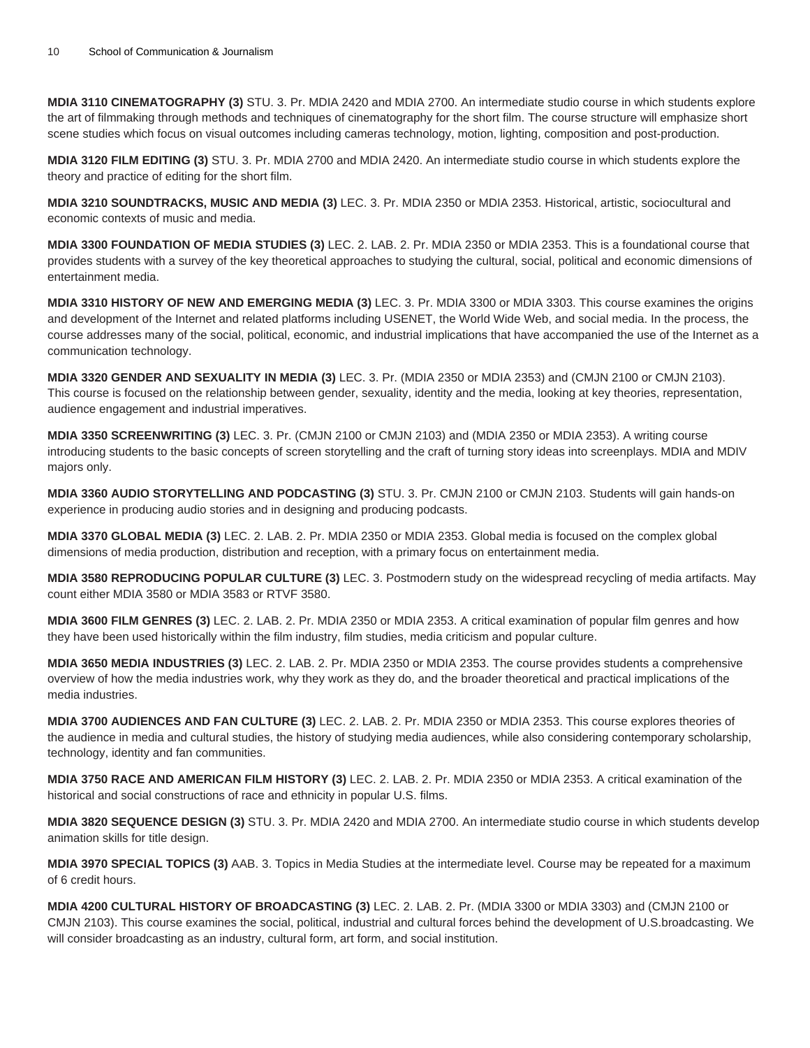**MDIA 3110 CINEMATOGRAPHY (3)** STU. 3. Pr. MDIA 2420 and MDIA 2700. An intermediate studio course in which students explore the art of filmmaking through methods and techniques of cinematography for the short film. The course structure will emphasize short scene studies which focus on visual outcomes including cameras technology, motion, lighting, composition and post-production.

**MDIA 3120 FILM EDITING (3)** STU. 3. Pr. MDIA 2700 and MDIA 2420. An intermediate studio course in which students explore the theory and practice of editing for the short film.

**MDIA 3210 SOUNDTRACKS, MUSIC AND MEDIA (3)** LEC. 3. Pr. MDIA 2350 or MDIA 2353. Historical, artistic, sociocultural and economic contexts of music and media.

**MDIA 3300 FOUNDATION OF MEDIA STUDIES (3)** LEC. 2. LAB. 2. Pr. MDIA 2350 or MDIA 2353. This is a foundational course that provides students with a survey of the key theoretical approaches to studying the cultural, social, political and economic dimensions of entertainment media.

**MDIA 3310 HISTORY OF NEW AND EMERGING MEDIA (3)** LEC. 3. Pr. MDIA 3300 or MDIA 3303. This course examines the origins and development of the Internet and related platforms including USENET, the World Wide Web, and social media. In the process, the course addresses many of the social, political, economic, and industrial implications that have accompanied the use of the Internet as a communication technology.

**MDIA 3320 GENDER AND SEXUALITY IN MEDIA (3)** LEC. 3. Pr. (MDIA 2350 or MDIA 2353) and (CMJN 2100 or CMJN 2103). This course is focused on the relationship between gender, sexuality, identity and the media, looking at key theories, representation, audience engagement and industrial imperatives.

**MDIA 3350 SCREENWRITING (3)** LEC. 3. Pr. (CMJN 2100 or CMJN 2103) and (MDIA 2350 or MDIA 2353). A writing course introducing students to the basic concepts of screen storytelling and the craft of turning story ideas into screenplays. MDIA and MDIV majors only.

**MDIA 3360 AUDIO STORYTELLING AND PODCASTING (3)** STU. 3. Pr. CMJN 2100 or CMJN 2103. Students will gain hands-on experience in producing audio stories and in designing and producing podcasts.

**MDIA 3370 GLOBAL MEDIA (3)** LEC. 2. LAB. 2. Pr. MDIA 2350 or MDIA 2353. Global media is focused on the complex global dimensions of media production, distribution and reception, with a primary focus on entertainment media.

**MDIA 3580 REPRODUCING POPULAR CULTURE (3)** LEC. 3. Postmodern study on the widespread recycling of media artifacts. May count either MDIA 3580 or MDIA 3583 or RTVF 3580.

**MDIA 3600 FILM GENRES (3)** LEC. 2. LAB. 2. Pr. MDIA 2350 or MDIA 2353. A critical examination of popular film genres and how they have been used historically within the film industry, film studies, media criticism and popular culture.

**MDIA 3650 MEDIA INDUSTRIES (3)** LEC. 2. LAB. 2. Pr. MDIA 2350 or MDIA 2353. The course provides students a comprehensive overview of how the media industries work, why they work as they do, and the broader theoretical and practical implications of the media industries.

**MDIA 3700 AUDIENCES AND FAN CULTURE (3)** LEC. 2. LAB. 2. Pr. MDIA 2350 or MDIA 2353. This course explores theories of the audience in media and cultural studies, the history of studying media audiences, while also considering contemporary scholarship, technology, identity and fan communities.

**MDIA 3750 RACE AND AMERICAN FILM HISTORY (3)** LEC. 2. LAB. 2. Pr. MDIA 2350 or MDIA 2353. A critical examination of the historical and social constructions of race and ethnicity in popular U.S. films.

**MDIA 3820 SEQUENCE DESIGN (3)** STU. 3. Pr. MDIA 2420 and MDIA 2700. An intermediate studio course in which students develop animation skills for title design.

**MDIA 3970 SPECIAL TOPICS (3)** AAB. 3. Topics in Media Studies at the intermediate level. Course may be repeated for a maximum of 6 credit hours.

**MDIA 4200 CULTURAL HISTORY OF BROADCASTING (3)** LEC. 2. LAB. 2. Pr. (MDIA 3300 or MDIA 3303) and (CMJN 2100 or CMJN 2103). This course examines the social, political, industrial and cultural forces behind the development of U.S.broadcasting. We will consider broadcasting as an industry, cultural form, art form, and social institution.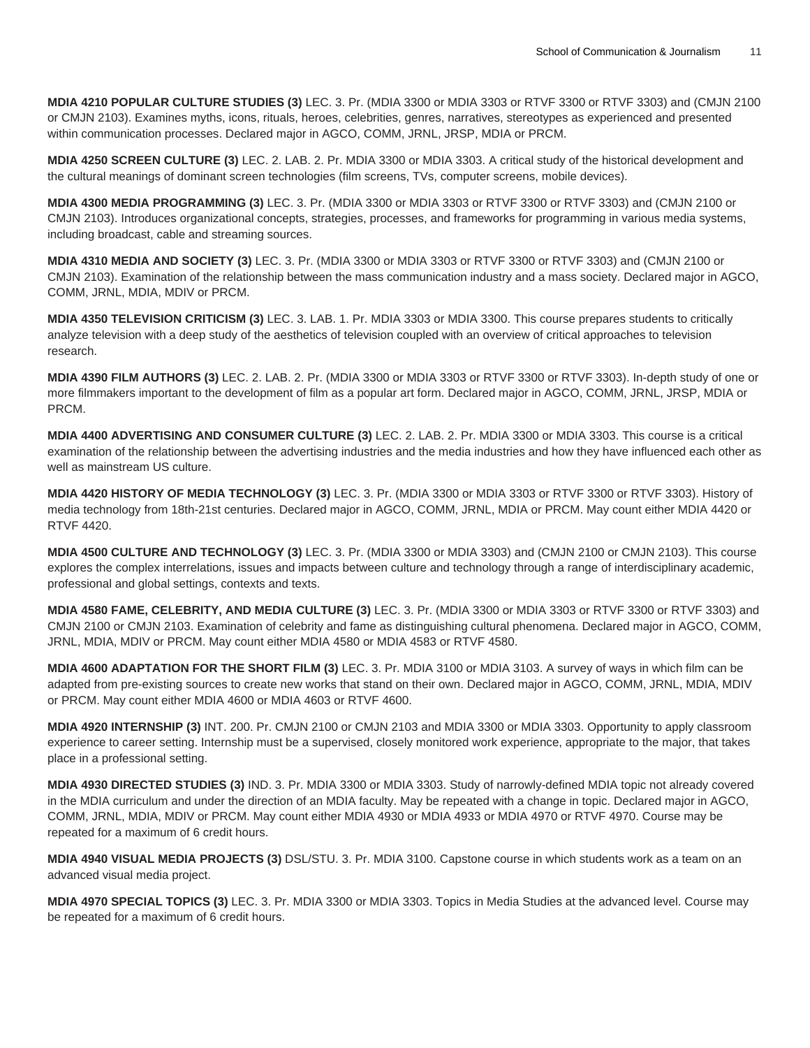**MDIA 4210 POPULAR CULTURE STUDIES (3)** LEC. 3. Pr. (MDIA 3300 or MDIA 3303 or RTVF 3300 or RTVF 3303) and (CMJN 2100 or CMJN 2103). Examines myths, icons, rituals, heroes, celebrities, genres, narratives, stereotypes as experienced and presented within communication processes. Declared major in AGCO, COMM, JRNL, JRSP, MDIA or PRCM.

**MDIA 4250 SCREEN CULTURE (3)** LEC. 2. LAB. 2. Pr. MDIA 3300 or MDIA 3303. A critical study of the historical development and the cultural meanings of dominant screen technologies (film screens, TVs, computer screens, mobile devices).

**MDIA 4300 MEDIA PROGRAMMING (3)** LEC. 3. Pr. (MDIA 3300 or MDIA 3303 or RTVF 3300 or RTVF 3303) and (CMJN 2100 or CMJN 2103). Introduces organizational concepts, strategies, processes, and frameworks for programming in various media systems, including broadcast, cable and streaming sources.

**MDIA 4310 MEDIA AND SOCIETY (3)** LEC. 3. Pr. (MDIA 3300 or MDIA 3303 or RTVF 3300 or RTVF 3303) and (CMJN 2100 or CMJN 2103). Examination of the relationship between the mass communication industry and a mass society. Declared major in AGCO, COMM, JRNL, MDIA, MDIV or PRCM.

**MDIA 4350 TELEVISION CRITICISM (3)** LEC. 3. LAB. 1. Pr. MDIA 3303 or MDIA 3300. This course prepares students to critically analyze television with a deep study of the aesthetics of television coupled with an overview of critical approaches to television research.

**MDIA 4390 FILM AUTHORS (3)** LEC. 2. LAB. 2. Pr. (MDIA 3300 or MDIA 3303 or RTVF 3300 or RTVF 3303). In-depth study of one or more filmmakers important to the development of film as a popular art form. Declared major in AGCO, COMM, JRNL, JRSP, MDIA or PRCM.

**MDIA 4400 ADVERTISING AND CONSUMER CULTURE (3)** LEC. 2. LAB. 2. Pr. MDIA 3300 or MDIA 3303. This course is a critical examination of the relationship between the advertising industries and the media industries and how they have influenced each other as well as mainstream US culture.

**MDIA 4420 HISTORY OF MEDIA TECHNOLOGY (3)** LEC. 3. Pr. (MDIA 3300 or MDIA 3303 or RTVF 3300 or RTVF 3303). History of media technology from 18th-21st centuries. Declared major in AGCO, COMM, JRNL, MDIA or PRCM. May count either MDIA 4420 or RTVF 4420.

**MDIA 4500 CULTURE AND TECHNOLOGY (3)** LEC. 3. Pr. (MDIA 3300 or MDIA 3303) and (CMJN 2100 or CMJN 2103). This course explores the complex interrelations, issues and impacts between culture and technology through a range of interdisciplinary academic, professional and global settings, contexts and texts.

**MDIA 4580 FAME, CELEBRITY, AND MEDIA CULTURE (3)** LEC. 3. Pr. (MDIA 3300 or MDIA 3303 or RTVF 3300 or RTVF 3303) and CMJN 2100 or CMJN 2103. Examination of celebrity and fame as distinguishing cultural phenomena. Declared major in AGCO, COMM, JRNL, MDIA, MDIV or PRCM. May count either MDIA 4580 or MDIA 4583 or RTVF 4580.

**MDIA 4600 ADAPTATION FOR THE SHORT FILM (3)** LEC. 3. Pr. MDIA 3100 or MDIA 3103. A survey of ways in which film can be adapted from pre-existing sources to create new works that stand on their own. Declared major in AGCO, COMM, JRNL, MDIA, MDIV or PRCM. May count either MDIA 4600 or MDIA 4603 or RTVF 4600.

**MDIA 4920 INTERNSHIP (3)** INT. 200. Pr. CMJN 2100 or CMJN 2103 and MDIA 3300 or MDIA 3303. Opportunity to apply classroom experience to career setting. Internship must be a supervised, closely monitored work experience, appropriate to the major, that takes place in a professional setting.

**MDIA 4930 DIRECTED STUDIES (3)** IND. 3. Pr. MDIA 3300 or MDIA 3303. Study of narrowly-defined MDIA topic not already covered in the MDIA curriculum and under the direction of an MDIA faculty. May be repeated with a change in topic. Declared major in AGCO, COMM, JRNL, MDIA, MDIV or PRCM. May count either MDIA 4930 or MDIA 4933 or MDIA 4970 or RTVF 4970. Course may be repeated for a maximum of 6 credit hours.

**MDIA 4940 VISUAL MEDIA PROJECTS (3)** DSL/STU. 3. Pr. MDIA 3100. Capstone course in which students work as a team on an advanced visual media project.

**MDIA 4970 SPECIAL TOPICS (3)** LEC. 3. Pr. MDIA 3300 or MDIA 3303. Topics in Media Studies at the advanced level. Course may be repeated for a maximum of 6 credit hours.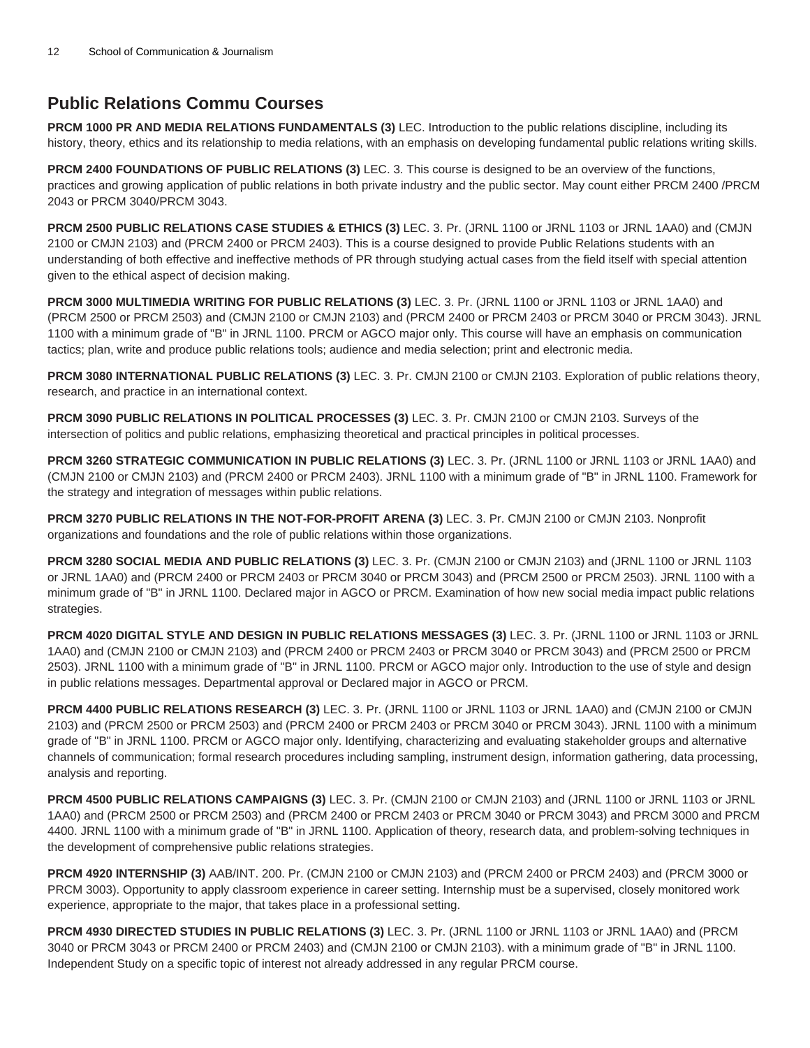# **Public Relations Commu Courses**

**PRCM 1000 PR AND MEDIA RELATIONS FUNDAMENTALS (3)** LEC. Introduction to the public relations discipline, including its history, theory, ethics and its relationship to media relations, with an emphasis on developing fundamental public relations writing skills.

**PRCM 2400 FOUNDATIONS OF PUBLIC RELATIONS (3)** LEC. 3. This course is designed to be an overview of the functions, practices and growing application of public relations in both private industry and the public sector. May count either PRCM 2400 /PRCM 2043 or PRCM 3040/PRCM 3043.

**PRCM 2500 PUBLIC RELATIONS CASE STUDIES & ETHICS (3)** LEC. 3. Pr. (JRNL 1100 or JRNL 1103 or JRNL 1AA0) and (CMJN 2100 or CMJN 2103) and (PRCM 2400 or PRCM 2403). This is a course designed to provide Public Relations students with an understanding of both effective and ineffective methods of PR through studying actual cases from the field itself with special attention given to the ethical aspect of decision making.

**PRCM 3000 MULTIMEDIA WRITING FOR PUBLIC RELATIONS (3)** LEC. 3. Pr. (JRNL 1100 or JRNL 1103 or JRNL 1AA0) and (PRCM 2500 or PRCM 2503) and (CMJN 2100 or CMJN 2103) and (PRCM 2400 or PRCM 2403 or PRCM 3040 or PRCM 3043). JRNL 1100 with a minimum grade of "B" in JRNL 1100. PRCM or AGCO major only. This course will have an emphasis on communication tactics; plan, write and produce public relations tools; audience and media selection; print and electronic media.

**PRCM 3080 INTERNATIONAL PUBLIC RELATIONS (3)** LEC. 3. Pr. CMJN 2100 or CMJN 2103. Exploration of public relations theory, research, and practice in an international context.

**PRCM 3090 PUBLIC RELATIONS IN POLITICAL PROCESSES (3)** LEC. 3. Pr. CMJN 2100 or CMJN 2103. Surveys of the intersection of politics and public relations, emphasizing theoretical and practical principles in political processes.

**PRCM 3260 STRATEGIC COMMUNICATION IN PUBLIC RELATIONS (3)** LEC. 3. Pr. (JRNL 1100 or JRNL 1103 or JRNL 1AA0) and (CMJN 2100 or CMJN 2103) and (PRCM 2400 or PRCM 2403). JRNL 1100 with a minimum grade of "B" in JRNL 1100. Framework for the strategy and integration of messages within public relations.

**PRCM 3270 PUBLIC RELATIONS IN THE NOT-FOR-PROFIT ARENA (3)** LEC. 3. Pr. CMJN 2100 or CMJN 2103. Nonprofit organizations and foundations and the role of public relations within those organizations.

**PRCM 3280 SOCIAL MEDIA AND PUBLIC RELATIONS (3)** LEC. 3. Pr. (CMJN 2100 or CMJN 2103) and (JRNL 1100 or JRNL 1103 or JRNL 1AA0) and (PRCM 2400 or PRCM 2403 or PRCM 3040 or PRCM 3043) and (PRCM 2500 or PRCM 2503). JRNL 1100 with a minimum grade of "B" in JRNL 1100. Declared major in AGCO or PRCM. Examination of how new social media impact public relations strategies.

**PRCM 4020 DIGITAL STYLE AND DESIGN IN PUBLIC RELATIONS MESSAGES (3)** LEC. 3. Pr. (JRNL 1100 or JRNL 1103 or JRNL 1AA0) and (CMJN 2100 or CMJN 2103) and (PRCM 2400 or PRCM 2403 or PRCM 3040 or PRCM 3043) and (PRCM 2500 or PRCM 2503). JRNL 1100 with a minimum grade of "B" in JRNL 1100. PRCM or AGCO major only. Introduction to the use of style and design in public relations messages. Departmental approval or Declared major in AGCO or PRCM.

**PRCM 4400 PUBLIC RELATIONS RESEARCH (3)** LEC. 3. Pr. (JRNL 1100 or JRNL 1103 or JRNL 1AA0) and (CMJN 2100 or CMJN 2103) and (PRCM 2500 or PRCM 2503) and (PRCM 2400 or PRCM 2403 or PRCM 3040 or PRCM 3043). JRNL 1100 with a minimum grade of "B" in JRNL 1100. PRCM or AGCO major only. Identifying, characterizing and evaluating stakeholder groups and alternative channels of communication; formal research procedures including sampling, instrument design, information gathering, data processing, analysis and reporting.

**PRCM 4500 PUBLIC RELATIONS CAMPAIGNS (3)** LEC. 3. Pr. (CMJN 2100 or CMJN 2103) and (JRNL 1100 or JRNL 1103 or JRNL 1AA0) and (PRCM 2500 or PRCM 2503) and (PRCM 2400 or PRCM 2403 or PRCM 3040 or PRCM 3043) and PRCM 3000 and PRCM 4400. JRNL 1100 with a minimum grade of "B" in JRNL 1100. Application of theory, research data, and problem-solving techniques in the development of comprehensive public relations strategies.

**PRCM 4920 INTERNSHIP (3)** AAB/INT. 200. Pr. (CMJN 2100 or CMJN 2103) and (PRCM 2400 or PRCM 2403) and (PRCM 3000 or PRCM 3003). Opportunity to apply classroom experience in career setting. Internship must be a supervised, closely monitored work experience, appropriate to the major, that takes place in a professional setting.

**PRCM 4930 DIRECTED STUDIES IN PUBLIC RELATIONS (3)** LEC. 3. Pr. (JRNL 1100 or JRNL 1103 or JRNL 1AA0) and (PRCM 3040 or PRCM 3043 or PRCM 2400 or PRCM 2403) and (CMJN 2100 or CMJN 2103). with a minimum grade of "B" in JRNL 1100. Independent Study on a specific topic of interest not already addressed in any regular PRCM course.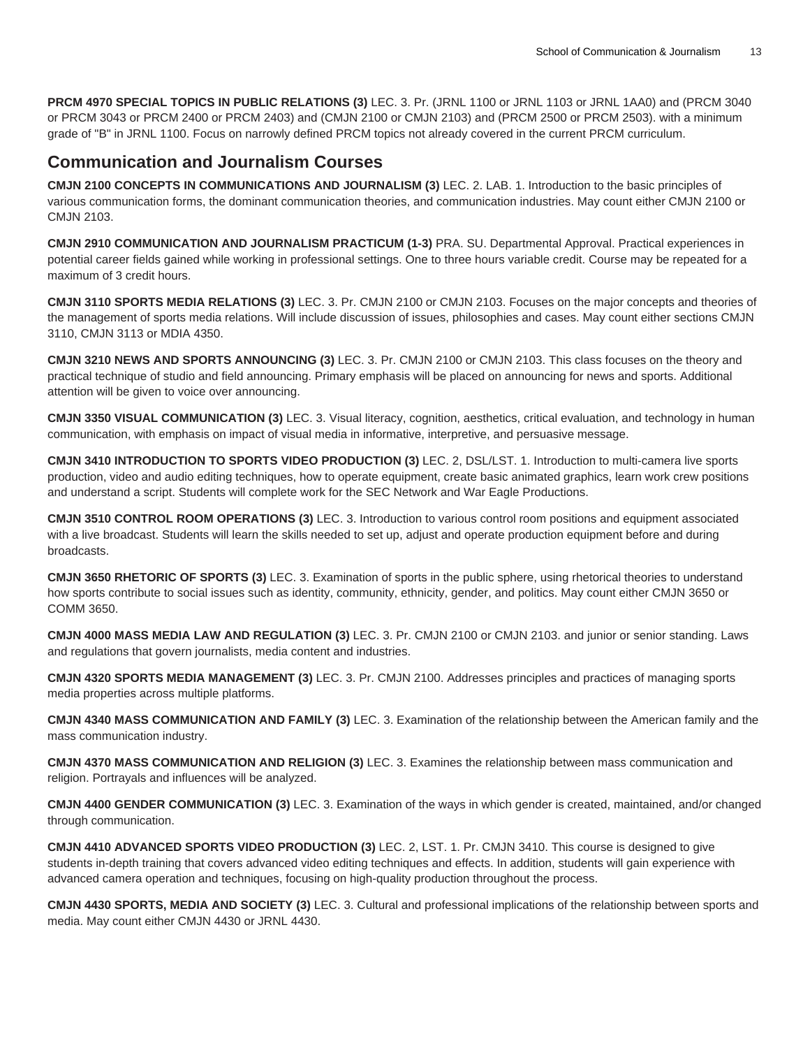**PRCM 4970 SPECIAL TOPICS IN PUBLIC RELATIONS (3)** LEC. 3. Pr. (JRNL 1100 or JRNL 1103 or JRNL 1AA0) and (PRCM 3040 or PRCM 3043 or PRCM 2400 or PRCM 2403) and (CMJN 2100 or CMJN 2103) and (PRCM 2500 or PRCM 2503). with a minimum grade of "B" in JRNL 1100. Focus on narrowly defined PRCM topics not already covered in the current PRCM curriculum.

## **Communication and Journalism Courses**

**CMJN 2100 CONCEPTS IN COMMUNICATIONS AND JOURNALISM (3)** LEC. 2. LAB. 1. Introduction to the basic principles of various communication forms, the dominant communication theories, and communication industries. May count either CMJN 2100 or CMJN 2103.

**CMJN 2910 COMMUNICATION AND JOURNALISM PRACTICUM (1-3)** PRA. SU. Departmental Approval. Practical experiences in potential career fields gained while working in professional settings. One to three hours variable credit. Course may be repeated for a maximum of 3 credit hours.

**CMJN 3110 SPORTS MEDIA RELATIONS (3)** LEC. 3. Pr. CMJN 2100 or CMJN 2103. Focuses on the major concepts and theories of the management of sports media relations. Will include discussion of issues, philosophies and cases. May count either sections CMJN 3110, CMJN 3113 or MDIA 4350.

**CMJN 3210 NEWS AND SPORTS ANNOUNCING (3)** LEC. 3. Pr. CMJN 2100 or CMJN 2103. This class focuses on the theory and practical technique of studio and field announcing. Primary emphasis will be placed on announcing for news and sports. Additional attention will be given to voice over announcing.

**CMJN 3350 VISUAL COMMUNICATION (3)** LEC. 3. Visual literacy, cognition, aesthetics, critical evaluation, and technology in human communication, with emphasis on impact of visual media in informative, interpretive, and persuasive message.

**CMJN 3410 INTRODUCTION TO SPORTS VIDEO PRODUCTION (3)** LEC. 2, DSL/LST. 1. Introduction to multi-camera live sports production, video and audio editing techniques, how to operate equipment, create basic animated graphics, learn work crew positions and understand a script. Students will complete work for the SEC Network and War Eagle Productions.

**CMJN 3510 CONTROL ROOM OPERATIONS (3)** LEC. 3. Introduction to various control room positions and equipment associated with a live broadcast. Students will learn the skills needed to set up, adjust and operate production equipment before and during broadcasts.

**CMJN 3650 RHETORIC OF SPORTS (3)** LEC. 3. Examination of sports in the public sphere, using rhetorical theories to understand how sports contribute to social issues such as identity, community, ethnicity, gender, and politics. May count either CMJN 3650 or COMM 3650.

**CMJN 4000 MASS MEDIA LAW AND REGULATION (3)** LEC. 3. Pr. CMJN 2100 or CMJN 2103. and junior or senior standing. Laws and regulations that govern journalists, media content and industries.

**CMJN 4320 SPORTS MEDIA MANAGEMENT (3)** LEC. 3. Pr. CMJN 2100. Addresses principles and practices of managing sports media properties across multiple platforms.

**CMJN 4340 MASS COMMUNICATION AND FAMILY (3)** LEC. 3. Examination of the relationship between the American family and the mass communication industry.

**CMJN 4370 MASS COMMUNICATION AND RELIGION (3)** LEC. 3. Examines the relationship between mass communication and religion. Portrayals and influences will be analyzed.

**CMJN 4400 GENDER COMMUNICATION (3)** LEC. 3. Examination of the ways in which gender is created, maintained, and/or changed through communication.

**CMJN 4410 ADVANCED SPORTS VIDEO PRODUCTION (3)** LEC. 2, LST. 1. Pr. CMJN 3410. This course is designed to give students in-depth training that covers advanced video editing techniques and effects. In addition, students will gain experience with advanced camera operation and techniques, focusing on high-quality production throughout the process.

**CMJN 4430 SPORTS, MEDIA AND SOCIETY (3)** LEC. 3. Cultural and professional implications of the relationship between sports and media. May count either CMJN 4430 or JRNL 4430.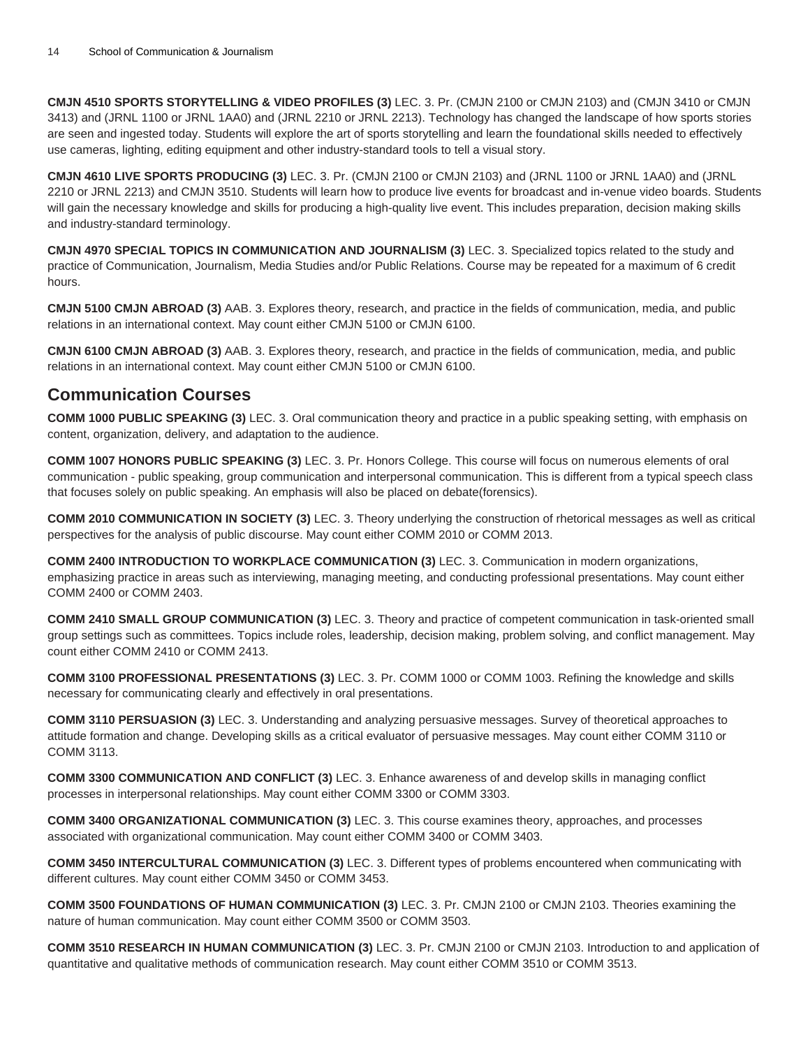**CMJN 4510 SPORTS STORYTELLING & VIDEO PROFILES (3)** LEC. 3. Pr. (CMJN 2100 or CMJN 2103) and (CMJN 3410 or CMJN 3413) and (JRNL 1100 or JRNL 1AA0) and (JRNL 2210 or JRNL 2213). Technology has changed the landscape of how sports stories are seen and ingested today. Students will explore the art of sports storytelling and learn the foundational skills needed to effectively use cameras, lighting, editing equipment and other industry-standard tools to tell a visual story.

**CMJN 4610 LIVE SPORTS PRODUCING (3)** LEC. 3. Pr. (CMJN 2100 or CMJN 2103) and (JRNL 1100 or JRNL 1AA0) and (JRNL 2210 or JRNL 2213) and CMJN 3510. Students will learn how to produce live events for broadcast and in-venue video boards. Students will gain the necessary knowledge and skills for producing a high-quality live event. This includes preparation, decision making skills and industry-standard terminology.

**CMJN 4970 SPECIAL TOPICS IN COMMUNICATION AND JOURNALISM (3)** LEC. 3. Specialized topics related to the study and practice of Communication, Journalism, Media Studies and/or Public Relations. Course may be repeated for a maximum of 6 credit hours.

**CMJN 5100 CMJN ABROAD (3)** AAB. 3. Explores theory, research, and practice in the fields of communication, media, and public relations in an international context. May count either CMJN 5100 or CMJN 6100.

**CMJN 6100 CMJN ABROAD (3)** AAB. 3. Explores theory, research, and practice in the fields of communication, media, and public relations in an international context. May count either CMJN 5100 or CMJN 6100.

#### **Communication Courses**

**COMM 1000 PUBLIC SPEAKING (3)** LEC. 3. Oral communication theory and practice in a public speaking setting, with emphasis on content, organization, delivery, and adaptation to the audience.

**COMM 1007 HONORS PUBLIC SPEAKING (3)** LEC. 3. Pr. Honors College. This course will focus on numerous elements of oral communication - public speaking, group communication and interpersonal communication. This is different from a typical speech class that focuses solely on public speaking. An emphasis will also be placed on debate(forensics).

**COMM 2010 COMMUNICATION IN SOCIETY (3)** LEC. 3. Theory underlying the construction of rhetorical messages as well as critical perspectives for the analysis of public discourse. May count either COMM 2010 or COMM 2013.

**COMM 2400 INTRODUCTION TO WORKPLACE COMMUNICATION (3)** LEC. 3. Communication in modern organizations, emphasizing practice in areas such as interviewing, managing meeting, and conducting professional presentations. May count either COMM 2400 or COMM 2403.

**COMM 2410 SMALL GROUP COMMUNICATION (3)** LEC. 3. Theory and practice of competent communication in task-oriented small group settings such as committees. Topics include roles, leadership, decision making, problem solving, and conflict management. May count either COMM 2410 or COMM 2413.

**COMM 3100 PROFESSIONAL PRESENTATIONS (3)** LEC. 3. Pr. COMM 1000 or COMM 1003. Refining the knowledge and skills necessary for communicating clearly and effectively in oral presentations.

**COMM 3110 PERSUASION (3)** LEC. 3. Understanding and analyzing persuasive messages. Survey of theoretical approaches to attitude formation and change. Developing skills as a critical evaluator of persuasive messages. May count either COMM 3110 or COMM 3113.

**COMM 3300 COMMUNICATION AND CONFLICT (3)** LEC. 3. Enhance awareness of and develop skills in managing conflict processes in interpersonal relationships. May count either COMM 3300 or COMM 3303.

**COMM 3400 ORGANIZATIONAL COMMUNICATION (3)** LEC. 3. This course examines theory, approaches, and processes associated with organizational communication. May count either COMM 3400 or COMM 3403.

**COMM 3450 INTERCULTURAL COMMUNICATION (3)** LEC. 3. Different types of problems encountered when communicating with different cultures. May count either COMM 3450 or COMM 3453.

**COMM 3500 FOUNDATIONS OF HUMAN COMMUNICATION (3)** LEC. 3. Pr. CMJN 2100 or CMJN 2103. Theories examining the nature of human communication. May count either COMM 3500 or COMM 3503.

**COMM 3510 RESEARCH IN HUMAN COMMUNICATION (3)** LEC. 3. Pr. CMJN 2100 or CMJN 2103. Introduction to and application of quantitative and qualitative methods of communication research. May count either COMM 3510 or COMM 3513.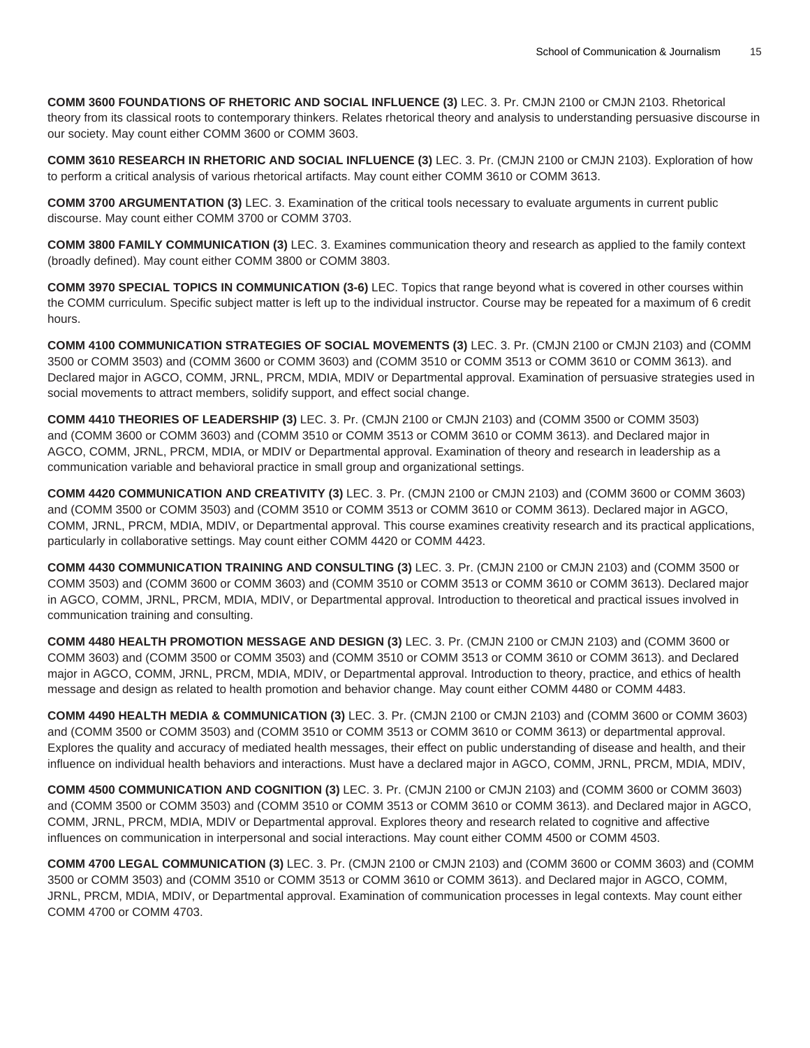**COMM 3600 FOUNDATIONS OF RHETORIC AND SOCIAL INFLUENCE (3)** LEC. 3. Pr. CMJN 2100 or CMJN 2103. Rhetorical theory from its classical roots to contemporary thinkers. Relates rhetorical theory and analysis to understanding persuasive discourse in our society. May count either COMM 3600 or COMM 3603.

**COMM 3610 RESEARCH IN RHETORIC AND SOCIAL INFLUENCE (3)** LEC. 3. Pr. (CMJN 2100 or CMJN 2103). Exploration of how to perform a critical analysis of various rhetorical artifacts. May count either COMM 3610 or COMM 3613.

**COMM 3700 ARGUMENTATION (3)** LEC. 3. Examination of the critical tools necessary to evaluate arguments in current public discourse. May count either COMM 3700 or COMM 3703.

**COMM 3800 FAMILY COMMUNICATION (3)** LEC. 3. Examines communication theory and research as applied to the family context (broadly defined). May count either COMM 3800 or COMM 3803.

**COMM 3970 SPECIAL TOPICS IN COMMUNICATION (3-6)** LEC. Topics that range beyond what is covered in other courses within the COMM curriculum. Specific subject matter is left up to the individual instructor. Course may be repeated for a maximum of 6 credit hours.

**COMM 4100 COMMUNICATION STRATEGIES OF SOCIAL MOVEMENTS (3)** LEC. 3. Pr. (CMJN 2100 or CMJN 2103) and (COMM 3500 or COMM 3503) and (COMM 3600 or COMM 3603) and (COMM 3510 or COMM 3513 or COMM 3610 or COMM 3613). and Declared major in AGCO, COMM, JRNL, PRCM, MDIA, MDIV or Departmental approval. Examination of persuasive strategies used in social movements to attract members, solidify support, and effect social change.

**COMM 4410 THEORIES OF LEADERSHIP (3)** LEC. 3. Pr. (CMJN 2100 or CMJN 2103) and (COMM 3500 or COMM 3503) and (COMM 3600 or COMM 3603) and (COMM 3510 or COMM 3513 or COMM 3610 or COMM 3613). and Declared major in AGCO, COMM, JRNL, PRCM, MDIA, or MDIV or Departmental approval. Examination of theory and research in leadership as a communication variable and behavioral practice in small group and organizational settings.

**COMM 4420 COMMUNICATION AND CREATIVITY (3)** LEC. 3. Pr. (CMJN 2100 or CMJN 2103) and (COMM 3600 or COMM 3603) and (COMM 3500 or COMM 3503) and (COMM 3510 or COMM 3513 or COMM 3610 or COMM 3613). Declared major in AGCO, COMM, JRNL, PRCM, MDIA, MDIV, or Departmental approval. This course examines creativity research and its practical applications, particularly in collaborative settings. May count either COMM 4420 or COMM 4423.

**COMM 4430 COMMUNICATION TRAINING AND CONSULTING (3)** LEC. 3. Pr. (CMJN 2100 or CMJN 2103) and (COMM 3500 or COMM 3503) and (COMM 3600 or COMM 3603) and (COMM 3510 or COMM 3513 or COMM 3610 or COMM 3613). Declared major in AGCO, COMM, JRNL, PRCM, MDIA, MDIV, or Departmental approval. Introduction to theoretical and practical issues involved in communication training and consulting.

**COMM 4480 HEALTH PROMOTION MESSAGE AND DESIGN (3)** LEC. 3. Pr. (CMJN 2100 or CMJN 2103) and (COMM 3600 or COMM 3603) and (COMM 3500 or COMM 3503) and (COMM 3510 or COMM 3513 or COMM 3610 or COMM 3613). and Declared major in AGCO, COMM, JRNL, PRCM, MDIA, MDIV, or Departmental approval. Introduction to theory, practice, and ethics of health message and design as related to health promotion and behavior change. May count either COMM 4480 or COMM 4483.

**COMM 4490 HEALTH MEDIA & COMMUNICATION (3)** LEC. 3. Pr. (CMJN 2100 or CMJN 2103) and (COMM 3600 or COMM 3603) and (COMM 3500 or COMM 3503) and (COMM 3510 or COMM 3513 or COMM 3610 or COMM 3613) or departmental approval. Explores the quality and accuracy of mediated health messages, their effect on public understanding of disease and health, and their influence on individual health behaviors and interactions. Must have a declared major in AGCO, COMM, JRNL, PRCM, MDIA, MDIV,

**COMM 4500 COMMUNICATION AND COGNITION (3)** LEC. 3. Pr. (CMJN 2100 or CMJN 2103) and (COMM 3600 or COMM 3603) and (COMM 3500 or COMM 3503) and (COMM 3510 or COMM 3513 or COMM 3610 or COMM 3613). and Declared major in AGCO, COMM, JRNL, PRCM, MDIA, MDIV or Departmental approval. Explores theory and research related to cognitive and affective influences on communication in interpersonal and social interactions. May count either COMM 4500 or COMM 4503.

**COMM 4700 LEGAL COMMUNICATION (3)** LEC. 3. Pr. (CMJN 2100 or CMJN 2103) and (COMM 3600 or COMM 3603) and (COMM 3500 or COMM 3503) and (COMM 3510 or COMM 3513 or COMM 3610 or COMM 3613). and Declared major in AGCO, COMM, JRNL, PRCM, MDIA, MDIV, or Departmental approval. Examination of communication processes in legal contexts. May count either COMM 4700 or COMM 4703.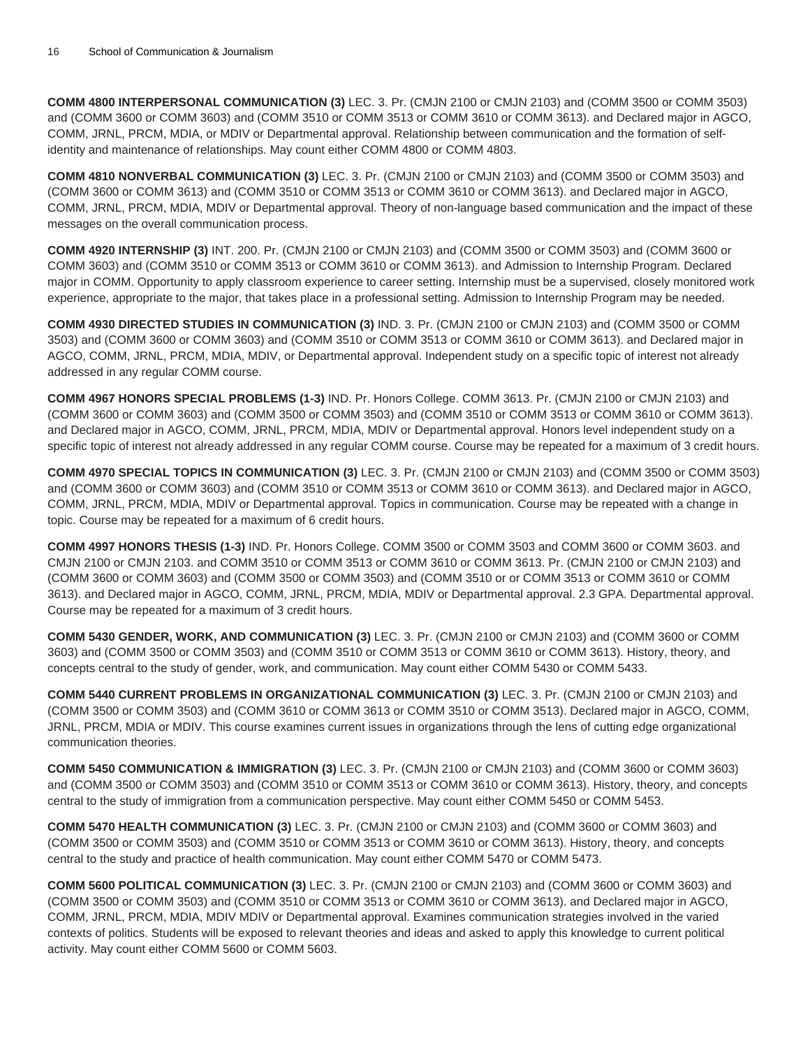**COMM 4800 INTERPERSONAL COMMUNICATION (3)** LEC. 3. Pr. (CMJN 2100 or CMJN 2103) and (COMM 3500 or COMM 3503) and (COMM 3600 or COMM 3603) and (COMM 3510 or COMM 3513 or COMM 3610 or COMM 3613). and Declared major in AGCO, COMM, JRNL, PRCM, MDIA, or MDIV or Departmental approval. Relationship between communication and the formation of selfidentity and maintenance of relationships. May count either COMM 4800 or COMM 4803.

**COMM 4810 NONVERBAL COMMUNICATION (3)** LEC. 3. Pr. (CMJN 2100 or CMJN 2103) and (COMM 3500 or COMM 3503) and (COMM 3600 or COMM 3613) and (COMM 3510 or COMM 3513 or COMM 3610 or COMM 3613). and Declared major in AGCO, COMM, JRNL, PRCM, MDIA, MDIV or Departmental approval. Theory of non-language based communication and the impact of these messages on the overall communication process.

**COMM 4920 INTERNSHIP (3)** INT. 200. Pr. (CMJN 2100 or CMJN 2103) and (COMM 3500 or COMM 3503) and (COMM 3600 or COMM 3603) and (COMM 3510 or COMM 3513 or COMM 3610 or COMM 3613). and Admission to Internship Program. Declared major in COMM. Opportunity to apply classroom experience to career setting. Internship must be a supervised, closely monitored work experience, appropriate to the major, that takes place in a professional setting. Admission to Internship Program may be needed.

**COMM 4930 DIRECTED STUDIES IN COMMUNICATION (3)** IND. 3. Pr. (CMJN 2100 or CMJN 2103) and (COMM 3500 or COMM 3503) and (COMM 3600 or COMM 3603) and (COMM 3510 or COMM 3513 or COMM 3610 or COMM 3613). and Declared major in AGCO, COMM, JRNL, PRCM, MDIA, MDIV, or Departmental approval. Independent study on a specific topic of interest not already addressed in any regular COMM course.

**COMM 4967 HONORS SPECIAL PROBLEMS (1-3)** IND. Pr. Honors College. COMM 3613. Pr. (CMJN 2100 or CMJN 2103) and (COMM 3600 or COMM 3603) and (COMM 3500 or COMM 3503) and (COMM 3510 or COMM 3513 or COMM 3610 or COMM 3613). and Declared major in AGCO, COMM, JRNL, PRCM, MDIA, MDIV or Departmental approval. Honors level independent study on a specific topic of interest not already addressed in any regular COMM course. Course may be repeated for a maximum of 3 credit hours.

**COMM 4970 SPECIAL TOPICS IN COMMUNICATION (3)** LEC. 3. Pr. (CMJN 2100 or CMJN 2103) and (COMM 3500 or COMM 3503) and (COMM 3600 or COMM 3603) and (COMM 3510 or COMM 3513 or COMM 3610 or COMM 3613). and Declared major in AGCO, COMM, JRNL, PRCM, MDIA, MDIV or Departmental approval. Topics in communication. Course may be repeated with a change in topic. Course may be repeated for a maximum of 6 credit hours.

**COMM 4997 HONORS THESIS (1-3)** IND. Pr. Honors College. COMM 3500 or COMM 3503 and COMM 3600 or COMM 3603. and CMJN 2100 or CMJN 2103. and COMM 3510 or COMM 3513 or COMM 3610 or COMM 3613. Pr. (CMJN 2100 or CMJN 2103) and (COMM 3600 or COMM 3603) and (COMM 3500 or COMM 3503) and (COMM 3510 or or COMM 3513 or COMM 3610 or COMM 3613). and Declared major in AGCO, COMM, JRNL, PRCM, MDIA, MDIV or Departmental approval. 2.3 GPA. Departmental approval. Course may be repeated for a maximum of 3 credit hours.

**COMM 5430 GENDER, WORK, AND COMMUNICATION (3)** LEC. 3. Pr. (CMJN 2100 or CMJN 2103) and (COMM 3600 or COMM 3603) and (COMM 3500 or COMM 3503) and (COMM 3510 or COMM 3513 or COMM 3610 or COMM 3613). History, theory, and concepts central to the study of gender, work, and communication. May count either COMM 5430 or COMM 5433.

**COMM 5440 CURRENT PROBLEMS IN ORGANIZATIONAL COMMUNICATION (3)** LEC. 3. Pr. (CMJN 2100 or CMJN 2103) and (COMM 3500 or COMM 3503) and (COMM 3610 or COMM 3613 or COMM 3510 or COMM 3513). Declared major in AGCO, COMM, JRNL, PRCM, MDIA or MDIV. This course examines current issues in organizations through the lens of cutting edge organizational communication theories.

**COMM 5450 COMMUNICATION & IMMIGRATION (3)** LEC. 3. Pr. (CMJN 2100 or CMJN 2103) and (COMM 3600 or COMM 3603) and (COMM 3500 or COMM 3503) and (COMM 3510 or COMM 3513 or COMM 3610 or COMM 3613). History, theory, and concepts central to the study of immigration from a communication perspective. May count either COMM 5450 or COMM 5453.

**COMM 5470 HEALTH COMMUNICATION (3)** LEC. 3. Pr. (CMJN 2100 or CMJN 2103) and (COMM 3600 or COMM 3603) and (COMM 3500 or COMM 3503) and (COMM 3510 or COMM 3513 or COMM 3610 or COMM 3613). History, theory, and concepts central to the study and practice of health communication. May count either COMM 5470 or COMM 5473.

**COMM 5600 POLITICAL COMMUNICATION (3)** LEC. 3. Pr. (CMJN 2100 or CMJN 2103) and (COMM 3600 or COMM 3603) and (COMM 3500 or COMM 3503) and (COMM 3510 or COMM 3513 or COMM 3610 or COMM 3613). and Declared major in AGCO, COMM, JRNL, PRCM, MDIA, MDIV MDIV or Departmental approval. Examines communication strategies involved in the varied contexts of politics. Students will be exposed to relevant theories and ideas and asked to apply this knowledge to current political activity. May count either COMM 5600 or COMM 5603.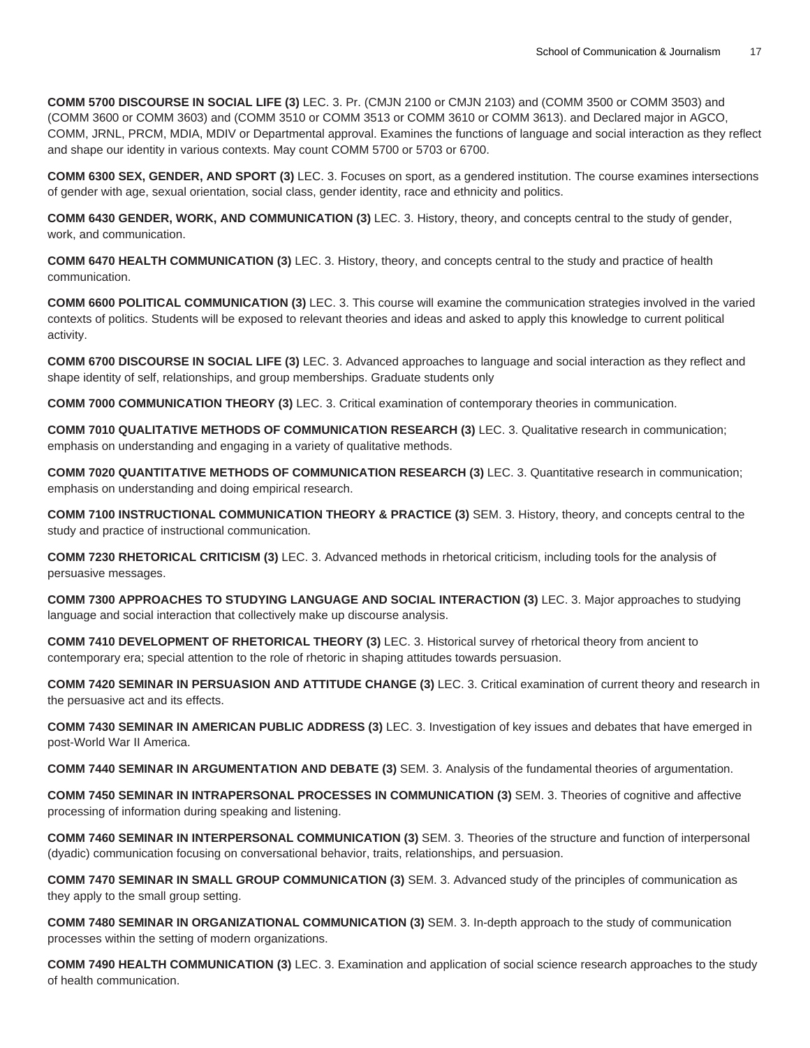**COMM 5700 DISCOURSE IN SOCIAL LIFE (3)** LEC. 3. Pr. (CMJN 2100 or CMJN 2103) and (COMM 3500 or COMM 3503) and (COMM 3600 or COMM 3603) and (COMM 3510 or COMM 3513 or COMM 3610 or COMM 3613). and Declared major in AGCO, COMM, JRNL, PRCM, MDIA, MDIV or Departmental approval. Examines the functions of language and social interaction as they reflect and shape our identity in various contexts. May count COMM 5700 or 5703 or 6700.

**COMM 6300 SEX, GENDER, AND SPORT (3)** LEC. 3. Focuses on sport, as a gendered institution. The course examines intersections of gender with age, sexual orientation, social class, gender identity, race and ethnicity and politics.

**COMM 6430 GENDER, WORK, AND COMMUNICATION (3)** LEC. 3. History, theory, and concepts central to the study of gender, work, and communication.

**COMM 6470 HEALTH COMMUNICATION (3)** LEC. 3. History, theory, and concepts central to the study and practice of health communication.

**COMM 6600 POLITICAL COMMUNICATION (3)** LEC. 3. This course will examine the communication strategies involved in the varied contexts of politics. Students will be exposed to relevant theories and ideas and asked to apply this knowledge to current political activity.

**COMM 6700 DISCOURSE IN SOCIAL LIFE (3)** LEC. 3. Advanced approaches to language and social interaction as they reflect and shape identity of self, relationships, and group memberships. Graduate students only

**COMM 7000 COMMUNICATION THEORY (3)** LEC. 3. Critical examination of contemporary theories in communication.

**COMM 7010 QUALITATIVE METHODS OF COMMUNICATION RESEARCH (3)** LEC. 3. Qualitative research in communication; emphasis on understanding and engaging in a variety of qualitative methods.

**COMM 7020 QUANTITATIVE METHODS OF COMMUNICATION RESEARCH (3)** LEC. 3. Quantitative research in communication; emphasis on understanding and doing empirical research.

**COMM 7100 INSTRUCTIONAL COMMUNICATION THEORY & PRACTICE (3)** SEM. 3. History, theory, and concepts central to the study and practice of instructional communication.

**COMM 7230 RHETORICAL CRITICISM (3)** LEC. 3. Advanced methods in rhetorical criticism, including tools for the analysis of persuasive messages.

**COMM 7300 APPROACHES TO STUDYING LANGUAGE AND SOCIAL INTERACTION (3)** LEC. 3. Major approaches to studying language and social interaction that collectively make up discourse analysis.

**COMM 7410 DEVELOPMENT OF RHETORICAL THEORY (3)** LEC. 3. Historical survey of rhetorical theory from ancient to contemporary era; special attention to the role of rhetoric in shaping attitudes towards persuasion.

**COMM 7420 SEMINAR IN PERSUASION AND ATTITUDE CHANGE (3)** LEC. 3. Critical examination of current theory and research in the persuasive act and its effects.

**COMM 7430 SEMINAR IN AMERICAN PUBLIC ADDRESS (3)** LEC. 3. Investigation of key issues and debates that have emerged in post-World War II America.

**COMM 7440 SEMINAR IN ARGUMENTATION AND DEBATE (3)** SEM. 3. Analysis of the fundamental theories of argumentation.

**COMM 7450 SEMINAR IN INTRAPERSONAL PROCESSES IN COMMUNICATION (3)** SEM. 3. Theories of cognitive and affective processing of information during speaking and listening.

**COMM 7460 SEMINAR IN INTERPERSONAL COMMUNICATION (3)** SEM. 3. Theories of the structure and function of interpersonal (dyadic) communication focusing on conversational behavior, traits, relationships, and persuasion.

**COMM 7470 SEMINAR IN SMALL GROUP COMMUNICATION (3)** SEM. 3. Advanced study of the principles of communication as they apply to the small group setting.

**COMM 7480 SEMINAR IN ORGANIZATIONAL COMMUNICATION (3)** SEM. 3. In-depth approach to the study of communication processes within the setting of modern organizations.

**COMM 7490 HEALTH COMMUNICATION (3)** LEC. 3. Examination and application of social science research approaches to the study of health communication.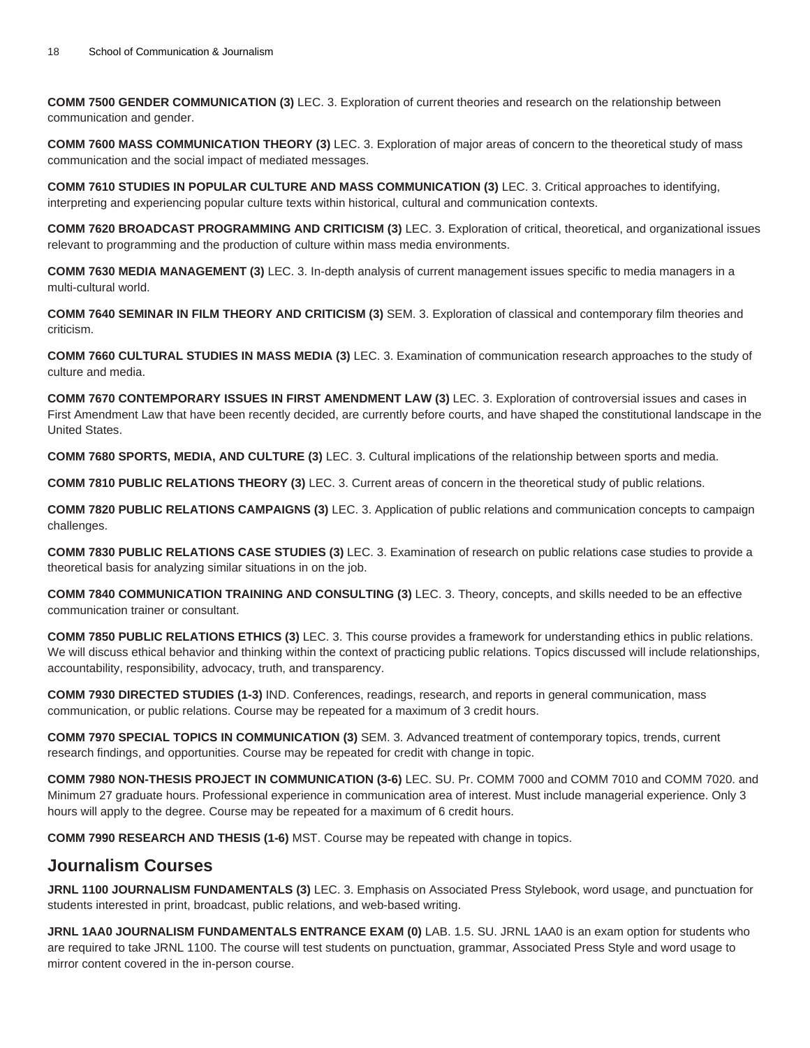**COMM 7500 GENDER COMMUNICATION (3)** LEC. 3. Exploration of current theories and research on the relationship between communication and gender.

**COMM 7600 MASS COMMUNICATION THEORY (3)** LEC. 3. Exploration of major areas of concern to the theoretical study of mass communication and the social impact of mediated messages.

**COMM 7610 STUDIES IN POPULAR CULTURE AND MASS COMMUNICATION (3)** LEC. 3. Critical approaches to identifying, interpreting and experiencing popular culture texts within historical, cultural and communication contexts.

**COMM 7620 BROADCAST PROGRAMMING AND CRITICISM (3)** LEC. 3. Exploration of critical, theoretical, and organizational issues relevant to programming and the production of culture within mass media environments.

**COMM 7630 MEDIA MANAGEMENT (3)** LEC. 3. In-depth analysis of current management issues specific to media managers in a multi-cultural world.

**COMM 7640 SEMINAR IN FILM THEORY AND CRITICISM (3)** SEM. 3. Exploration of classical and contemporary film theories and criticism.

**COMM 7660 CULTURAL STUDIES IN MASS MEDIA (3)** LEC. 3. Examination of communication research approaches to the study of culture and media.

**COMM 7670 CONTEMPORARY ISSUES IN FIRST AMENDMENT LAW (3)** LEC. 3. Exploration of controversial issues and cases in First Amendment Law that have been recently decided, are currently before courts, and have shaped the constitutional landscape in the United States.

**COMM 7680 SPORTS, MEDIA, AND CULTURE (3)** LEC. 3. Cultural implications of the relationship between sports and media.

**COMM 7810 PUBLIC RELATIONS THEORY (3)** LEC. 3. Current areas of concern in the theoretical study of public relations.

**COMM 7820 PUBLIC RELATIONS CAMPAIGNS (3)** LEC. 3. Application of public relations and communication concepts to campaign challenges.

**COMM 7830 PUBLIC RELATIONS CASE STUDIES (3)** LEC. 3. Examination of research on public relations case studies to provide a theoretical basis for analyzing similar situations in on the job.

**COMM 7840 COMMUNICATION TRAINING AND CONSULTING (3)** LEC. 3. Theory, concepts, and skills needed to be an effective communication trainer or consultant.

**COMM 7850 PUBLIC RELATIONS ETHICS (3)** LEC. 3. This course provides a framework for understanding ethics in public relations. We will discuss ethical behavior and thinking within the context of practicing public relations. Topics discussed will include relationships, accountability, responsibility, advocacy, truth, and transparency.

**COMM 7930 DIRECTED STUDIES (1-3)** IND. Conferences, readings, research, and reports in general communication, mass communication, or public relations. Course may be repeated for a maximum of 3 credit hours.

**COMM 7970 SPECIAL TOPICS IN COMMUNICATION (3)** SEM. 3. Advanced treatment of contemporary topics, trends, current research findings, and opportunities. Course may be repeated for credit with change in topic.

**COMM 7980 NON-THESIS PROJECT IN COMMUNICATION (3-6)** LEC. SU. Pr. COMM 7000 and COMM 7010 and COMM 7020. and Minimum 27 graduate hours. Professional experience in communication area of interest. Must include managerial experience. Only 3 hours will apply to the degree. Course may be repeated for a maximum of 6 credit hours.

**COMM 7990 RESEARCH AND THESIS (1-6)** MST. Course may be repeated with change in topics.

#### **Journalism Courses**

**JRNL 1100 JOURNALISM FUNDAMENTALS (3)** LEC. 3. Emphasis on Associated Press Stylebook, word usage, and punctuation for students interested in print, broadcast, public relations, and web-based writing.

**JRNL 1AA0 JOURNALISM FUNDAMENTALS ENTRANCE EXAM (0)** LAB. 1.5. SU. JRNL 1AA0 is an exam option for students who are required to take JRNL 1100. The course will test students on punctuation, grammar, Associated Press Style and word usage to mirror content covered in the in-person course.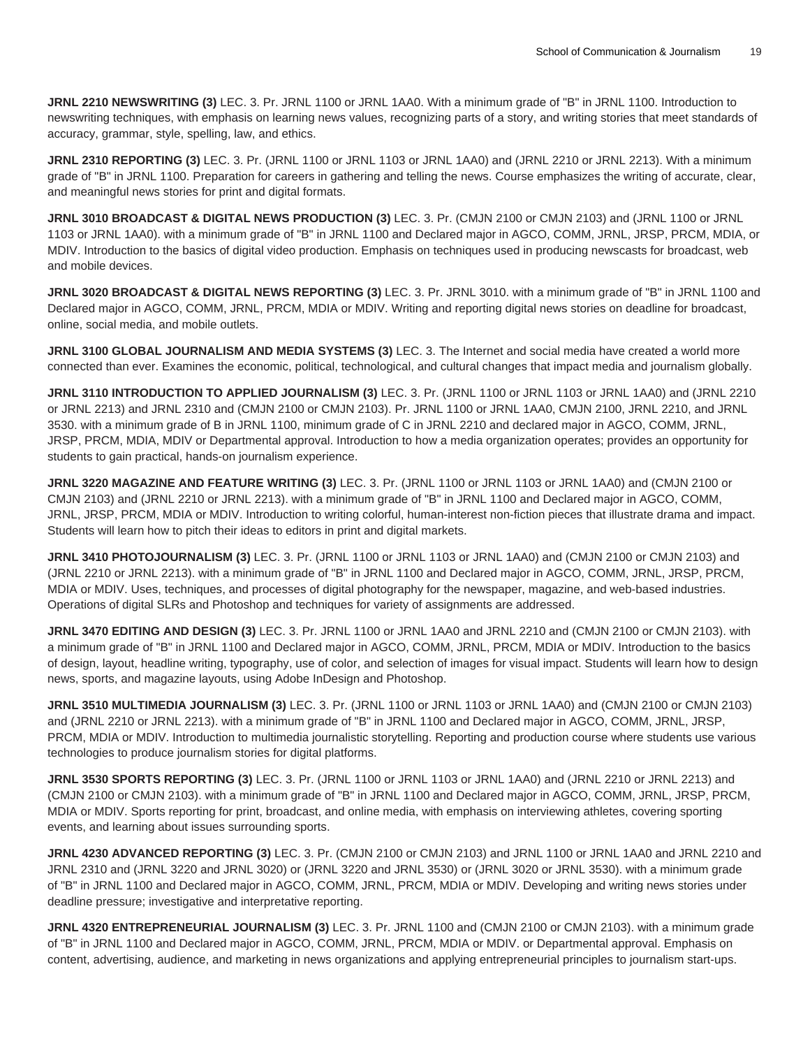**JRNL 2210 NEWSWRITING (3)** LEC. 3. Pr. JRNL 1100 or JRNL 1AA0. With a minimum grade of "B" in JRNL 1100. Introduction to newswriting techniques, with emphasis on learning news values, recognizing parts of a story, and writing stories that meet standards of accuracy, grammar, style, spelling, law, and ethics.

**JRNL 2310 REPORTING (3)** LEC. 3. Pr. (JRNL 1100 or JRNL 1103 or JRNL 1AA0) and (JRNL 2210 or JRNL 2213). With a minimum grade of "B" in JRNL 1100. Preparation for careers in gathering and telling the news. Course emphasizes the writing of accurate, clear, and meaningful news stories for print and digital formats.

**JRNL 3010 BROADCAST & DIGITAL NEWS PRODUCTION (3)** LEC. 3. Pr. (CMJN 2100 or CMJN 2103) and (JRNL 1100 or JRNL 1103 or JRNL 1AA0). with a minimum grade of "B" in JRNL 1100 and Declared major in AGCO, COMM, JRNL, JRSP, PRCM, MDIA, or MDIV. Introduction to the basics of digital video production. Emphasis on techniques used in producing newscasts for broadcast, web and mobile devices.

**JRNL 3020 BROADCAST & DIGITAL NEWS REPORTING (3)** LEC. 3. Pr. JRNL 3010. with a minimum grade of "B" in JRNL 1100 and Declared major in AGCO, COMM, JRNL, PRCM, MDIA or MDIV. Writing and reporting digital news stories on deadline for broadcast, online, social media, and mobile outlets.

**JRNL 3100 GLOBAL JOURNALISM AND MEDIA SYSTEMS (3)** LEC. 3. The Internet and social media have created a world more connected than ever. Examines the economic, political, technological, and cultural changes that impact media and journalism globally.

**JRNL 3110 INTRODUCTION TO APPLIED JOURNALISM (3)** LEC. 3. Pr. (JRNL 1100 or JRNL 1103 or JRNL 1AA0) and (JRNL 2210 or JRNL 2213) and JRNL 2310 and (CMJN 2100 or CMJN 2103). Pr. JRNL 1100 or JRNL 1AA0, CMJN 2100, JRNL 2210, and JRNL 3530. with a minimum grade of B in JRNL 1100, minimum grade of C in JRNL 2210 and declared major in AGCO, COMM, JRNL, JRSP, PRCM, MDIA, MDIV or Departmental approval. Introduction to how a media organization operates; provides an opportunity for students to gain practical, hands-on journalism experience.

**JRNL 3220 MAGAZINE AND FEATURE WRITING (3)** LEC. 3. Pr. (JRNL 1100 or JRNL 1103 or JRNL 1AA0) and (CMJN 2100 or CMJN 2103) and (JRNL 2210 or JRNL 2213). with a minimum grade of "B" in JRNL 1100 and Declared major in AGCO, COMM, JRNL, JRSP, PRCM, MDIA or MDIV. Introduction to writing colorful, human-interest non-fiction pieces that illustrate drama and impact. Students will learn how to pitch their ideas to editors in print and digital markets.

**JRNL 3410 PHOTOJOURNALISM (3)** LEC. 3. Pr. (JRNL 1100 or JRNL 1103 or JRNL 1AA0) and (CMJN 2100 or CMJN 2103) and (JRNL 2210 or JRNL 2213). with a minimum grade of "B" in JRNL 1100 and Declared major in AGCO, COMM, JRNL, JRSP, PRCM, MDIA or MDIV. Uses, techniques, and processes of digital photography for the newspaper, magazine, and web-based industries. Operations of digital SLRs and Photoshop and techniques for variety of assignments are addressed.

**JRNL 3470 EDITING AND DESIGN (3)** LEC. 3. Pr. JRNL 1100 or JRNL 1AA0 and JRNL 2210 and (CMJN 2100 or CMJN 2103). with a minimum grade of "B" in JRNL 1100 and Declared major in AGCO, COMM, JRNL, PRCM, MDIA or MDIV. Introduction to the basics of design, layout, headline writing, typography, use of color, and selection of images for visual impact. Students will learn how to design news, sports, and magazine layouts, using Adobe InDesign and Photoshop.

**JRNL 3510 MULTIMEDIA JOURNALISM (3)** LEC. 3. Pr. (JRNL 1100 or JRNL 1103 or JRNL 1AA0) and (CMJN 2100 or CMJN 2103) and (JRNL 2210 or JRNL 2213). with a minimum grade of "B" in JRNL 1100 and Declared major in AGCO, COMM, JRNL, JRSP, PRCM, MDIA or MDIV. Introduction to multimedia journalistic storytelling. Reporting and production course where students use various technologies to produce journalism stories for digital platforms.

**JRNL 3530 SPORTS REPORTING (3)** LEC. 3. Pr. (JRNL 1100 or JRNL 1103 or JRNL 1AA0) and (JRNL 2210 or JRNL 2213) and (CMJN 2100 or CMJN 2103). with a minimum grade of "B" in JRNL 1100 and Declared major in AGCO, COMM, JRNL, JRSP, PRCM, MDIA or MDIV. Sports reporting for print, broadcast, and online media, with emphasis on interviewing athletes, covering sporting events, and learning about issues surrounding sports.

**JRNL 4230 ADVANCED REPORTING (3)** LEC. 3. Pr. (CMJN 2100 or CMJN 2103) and JRNL 1100 or JRNL 1AA0 and JRNL 2210 and JRNL 2310 and (JRNL 3220 and JRNL 3020) or (JRNL 3220 and JRNL 3530) or (JRNL 3020 or JRNL 3530). with a minimum grade of "B" in JRNL 1100 and Declared major in AGCO, COMM, JRNL, PRCM, MDIA or MDIV. Developing and writing news stories under deadline pressure; investigative and interpretative reporting.

**JRNL 4320 ENTREPRENEURIAL JOURNALISM (3)** LEC. 3. Pr. JRNL 1100 and (CMJN 2100 or CMJN 2103). with a minimum grade of "B" in JRNL 1100 and Declared major in AGCO, COMM, JRNL, PRCM, MDIA or MDIV. or Departmental approval. Emphasis on content, advertising, audience, and marketing in news organizations and applying entrepreneurial principles to journalism start-ups.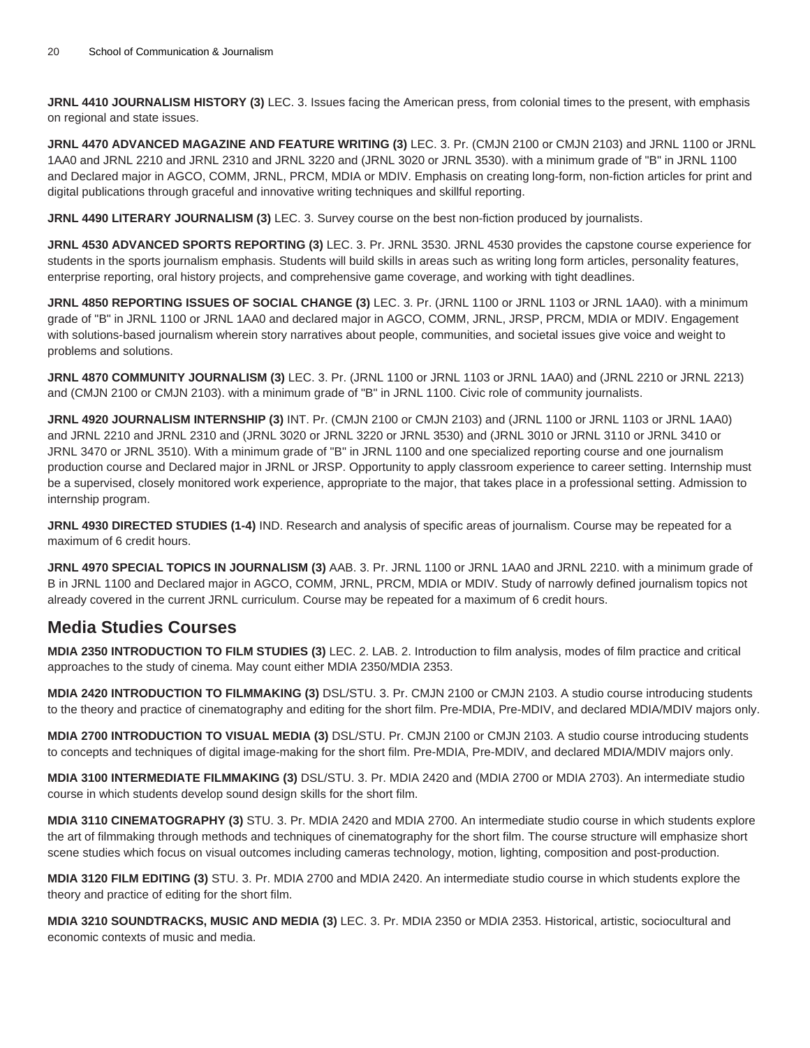**JRNL 4410 JOURNALISM HISTORY (3)** LEC. 3. Issues facing the American press, from colonial times to the present, with emphasis on regional and state issues.

**JRNL 4470 ADVANCED MAGAZINE AND FEATURE WRITING (3)** LEC. 3. Pr. (CMJN 2100 or CMJN 2103) and JRNL 1100 or JRNL 1AA0 and JRNL 2210 and JRNL 2310 and JRNL 3220 and (JRNL 3020 or JRNL 3530). with a minimum grade of "B" in JRNL 1100 and Declared major in AGCO, COMM, JRNL, PRCM, MDIA or MDIV. Emphasis on creating long-form, non-fiction articles for print and digital publications through graceful and innovative writing techniques and skillful reporting.

**JRNL 4490 LITERARY JOURNALISM (3)** LEC. 3. Survey course on the best non-fiction produced by journalists.

**JRNL 4530 ADVANCED SPORTS REPORTING (3)** LEC. 3. Pr. JRNL 3530. JRNL 4530 provides the capstone course experience for students in the sports journalism emphasis. Students will build skills in areas such as writing long form articles, personality features, enterprise reporting, oral history projects, and comprehensive game coverage, and working with tight deadlines.

**JRNL 4850 REPORTING ISSUES OF SOCIAL CHANGE (3)** LEC. 3. Pr. (JRNL 1100 or JRNL 1103 or JRNL 1AA0). with a minimum grade of "B" in JRNL 1100 or JRNL 1AA0 and declared major in AGCO, COMM, JRNL, JRSP, PRCM, MDIA or MDIV. Engagement with solutions-based journalism wherein story narratives about people, communities, and societal issues give voice and weight to problems and solutions.

**JRNL 4870 COMMUNITY JOURNALISM (3)** LEC. 3. Pr. (JRNL 1100 or JRNL 1103 or JRNL 1AA0) and (JRNL 2210 or JRNL 2213) and (CMJN 2100 or CMJN 2103). with a minimum grade of "B" in JRNL 1100. Civic role of community journalists.

**JRNL 4920 JOURNALISM INTERNSHIP (3)** INT. Pr. (CMJN 2100 or CMJN 2103) and (JRNL 1100 or JRNL 1103 or JRNL 1AA0) and JRNL 2210 and JRNL 2310 and (JRNL 3020 or JRNL 3220 or JRNL 3530) and (JRNL 3010 or JRNL 3110 or JRNL 3410 or JRNL 3470 or JRNL 3510). With a minimum grade of "B" in JRNL 1100 and one specialized reporting course and one journalism production course and Declared major in JRNL or JRSP. Opportunity to apply classroom experience to career setting. Internship must be a supervised, closely monitored work experience, appropriate to the major, that takes place in a professional setting. Admission to internship program.

**JRNL 4930 DIRECTED STUDIES (1-4)** IND. Research and analysis of specific areas of journalism. Course may be repeated for a maximum of 6 credit hours.

**JRNL 4970 SPECIAL TOPICS IN JOURNALISM (3)** AAB. 3. Pr. JRNL 1100 or JRNL 1AA0 and JRNL 2210. with a minimum grade of B in JRNL 1100 and Declared major in AGCO, COMM, JRNL, PRCM, MDIA or MDIV. Study of narrowly defined journalism topics not already covered in the current JRNL curriculum. Course may be repeated for a maximum of 6 credit hours.

## **Media Studies Courses**

**MDIA 2350 INTRODUCTION TO FILM STUDIES (3)** LEC. 2. LAB. 2. Introduction to film analysis, modes of film practice and critical approaches to the study of cinema. May count either MDIA 2350/MDIA 2353.

**MDIA 2420 INTRODUCTION TO FILMMAKING (3)** DSL/STU. 3. Pr. CMJN 2100 or CMJN 2103. A studio course introducing students to the theory and practice of cinematography and editing for the short film. Pre-MDIA, Pre-MDIV, and declared MDIA/MDIV majors only.

**MDIA 2700 INTRODUCTION TO VISUAL MEDIA (3)** DSL/STU. Pr. CMJN 2100 or CMJN 2103. A studio course introducing students to concepts and techniques of digital image-making for the short film. Pre-MDIA, Pre-MDIV, and declared MDIA/MDIV majors only.

**MDIA 3100 INTERMEDIATE FILMMAKING (3)** DSL/STU. 3. Pr. MDIA 2420 and (MDIA 2700 or MDIA 2703). An intermediate studio course in which students develop sound design skills for the short film.

**MDIA 3110 CINEMATOGRAPHY (3)** STU. 3. Pr. MDIA 2420 and MDIA 2700. An intermediate studio course in which students explore the art of filmmaking through methods and techniques of cinematography for the short film. The course structure will emphasize short scene studies which focus on visual outcomes including cameras technology, motion, lighting, composition and post-production.

**MDIA 3120 FILM EDITING (3)** STU. 3. Pr. MDIA 2700 and MDIA 2420. An intermediate studio course in which students explore the theory and practice of editing for the short film.

**MDIA 3210 SOUNDTRACKS, MUSIC AND MEDIA (3)** LEC. 3. Pr. MDIA 2350 or MDIA 2353. Historical, artistic, sociocultural and economic contexts of music and media.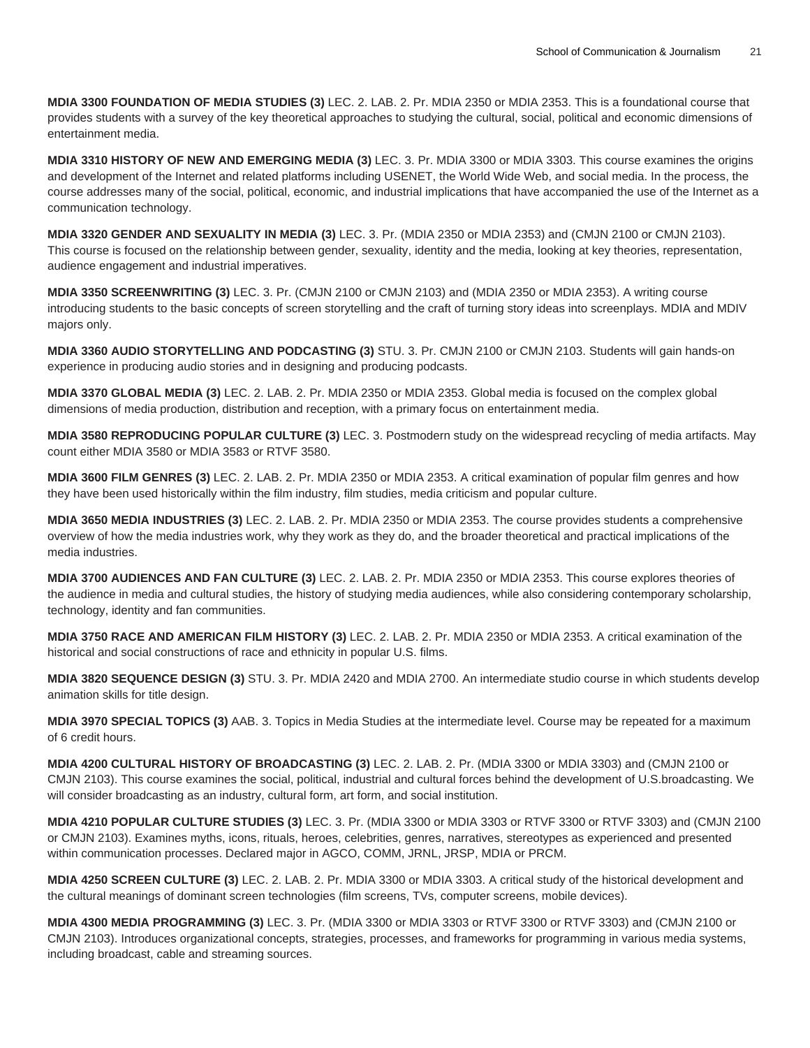**MDIA 3300 FOUNDATION OF MEDIA STUDIES (3)** LEC. 2. LAB. 2. Pr. MDIA 2350 or MDIA 2353. This is a foundational course that provides students with a survey of the key theoretical approaches to studying the cultural, social, political and economic dimensions of entertainment media.

**MDIA 3310 HISTORY OF NEW AND EMERGING MEDIA (3)** LEC. 3. Pr. MDIA 3300 or MDIA 3303. This course examines the origins and development of the Internet and related platforms including USENET, the World Wide Web, and social media. In the process, the course addresses many of the social, political, economic, and industrial implications that have accompanied the use of the Internet as a communication technology.

**MDIA 3320 GENDER AND SEXUALITY IN MEDIA (3)** LEC. 3. Pr. (MDIA 2350 or MDIA 2353) and (CMJN 2100 or CMJN 2103). This course is focused on the relationship between gender, sexuality, identity and the media, looking at key theories, representation, audience engagement and industrial imperatives.

**MDIA 3350 SCREENWRITING (3)** LEC. 3. Pr. (CMJN 2100 or CMJN 2103) and (MDIA 2350 or MDIA 2353). A writing course introducing students to the basic concepts of screen storytelling and the craft of turning story ideas into screenplays. MDIA and MDIV majors only.

**MDIA 3360 AUDIO STORYTELLING AND PODCASTING (3)** STU. 3. Pr. CMJN 2100 or CMJN 2103. Students will gain hands-on experience in producing audio stories and in designing and producing podcasts.

**MDIA 3370 GLOBAL MEDIA (3)** LEC. 2. LAB. 2. Pr. MDIA 2350 or MDIA 2353. Global media is focused on the complex global dimensions of media production, distribution and reception, with a primary focus on entertainment media.

**MDIA 3580 REPRODUCING POPULAR CULTURE (3)** LEC. 3. Postmodern study on the widespread recycling of media artifacts. May count either MDIA 3580 or MDIA 3583 or RTVF 3580.

**MDIA 3600 FILM GENRES (3)** LEC. 2. LAB. 2. Pr. MDIA 2350 or MDIA 2353. A critical examination of popular film genres and how they have been used historically within the film industry, film studies, media criticism and popular culture.

**MDIA 3650 MEDIA INDUSTRIES (3)** LEC. 2. LAB. 2. Pr. MDIA 2350 or MDIA 2353. The course provides students a comprehensive overview of how the media industries work, why they work as they do, and the broader theoretical and practical implications of the media industries.

**MDIA 3700 AUDIENCES AND FAN CULTURE (3)** LEC. 2. LAB. 2. Pr. MDIA 2350 or MDIA 2353. This course explores theories of the audience in media and cultural studies, the history of studying media audiences, while also considering contemporary scholarship, technology, identity and fan communities.

**MDIA 3750 RACE AND AMERICAN FILM HISTORY (3)** LEC. 2. LAB. 2. Pr. MDIA 2350 or MDIA 2353. A critical examination of the historical and social constructions of race and ethnicity in popular U.S. films.

**MDIA 3820 SEQUENCE DESIGN (3)** STU. 3. Pr. MDIA 2420 and MDIA 2700. An intermediate studio course in which students develop animation skills for title design.

**MDIA 3970 SPECIAL TOPICS (3)** AAB. 3. Topics in Media Studies at the intermediate level. Course may be repeated for a maximum of 6 credit hours.

**MDIA 4200 CULTURAL HISTORY OF BROADCASTING (3)** LEC. 2. LAB. 2. Pr. (MDIA 3300 or MDIA 3303) and (CMJN 2100 or CMJN 2103). This course examines the social, political, industrial and cultural forces behind the development of U.S.broadcasting. We will consider broadcasting as an industry, cultural form, art form, and social institution.

**MDIA 4210 POPULAR CULTURE STUDIES (3)** LEC. 3. Pr. (MDIA 3300 or MDIA 3303 or RTVF 3300 or RTVF 3303) and (CMJN 2100 or CMJN 2103). Examines myths, icons, rituals, heroes, celebrities, genres, narratives, stereotypes as experienced and presented within communication processes. Declared major in AGCO, COMM, JRNL, JRSP, MDIA or PRCM.

**MDIA 4250 SCREEN CULTURE (3)** LEC. 2. LAB. 2. Pr. MDIA 3300 or MDIA 3303. A critical study of the historical development and the cultural meanings of dominant screen technologies (film screens, TVs, computer screens, mobile devices).

**MDIA 4300 MEDIA PROGRAMMING (3)** LEC. 3. Pr. (MDIA 3300 or MDIA 3303 or RTVF 3300 or RTVF 3303) and (CMJN 2100 or CMJN 2103). Introduces organizational concepts, strategies, processes, and frameworks for programming in various media systems, including broadcast, cable and streaming sources.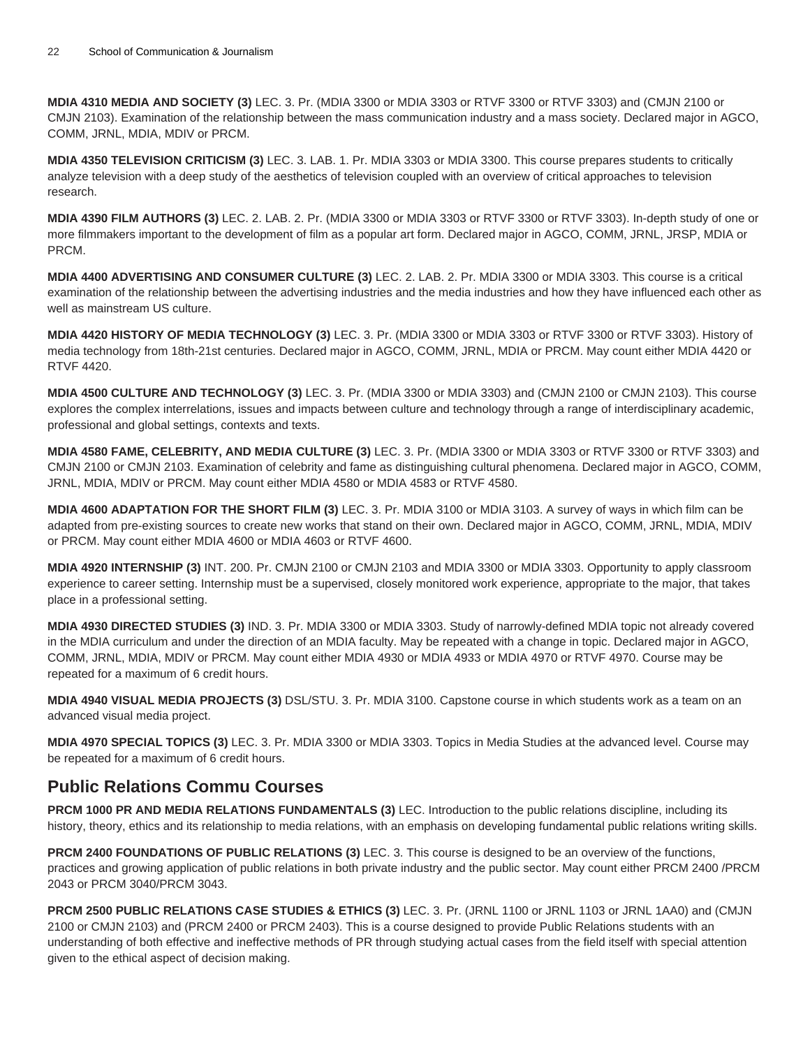**MDIA 4310 MEDIA AND SOCIETY (3)** LEC. 3. Pr. (MDIA 3300 or MDIA 3303 or RTVF 3300 or RTVF 3303) and (CMJN 2100 or CMJN 2103). Examination of the relationship between the mass communication industry and a mass society. Declared major in AGCO, COMM, JRNL, MDIA, MDIV or PRCM.

**MDIA 4350 TELEVISION CRITICISM (3)** LEC. 3. LAB. 1. Pr. MDIA 3303 or MDIA 3300. This course prepares students to critically analyze television with a deep study of the aesthetics of television coupled with an overview of critical approaches to television research.

**MDIA 4390 FILM AUTHORS (3)** LEC. 2. LAB. 2. Pr. (MDIA 3300 or MDIA 3303 or RTVF 3300 or RTVF 3303). In-depth study of one or more filmmakers important to the development of film as a popular art form. Declared major in AGCO, COMM, JRNL, JRSP, MDIA or PRCM.

**MDIA 4400 ADVERTISING AND CONSUMER CULTURE (3)** LEC. 2. LAB. 2. Pr. MDIA 3300 or MDIA 3303. This course is a critical examination of the relationship between the advertising industries and the media industries and how they have influenced each other as well as mainstream US culture.

**MDIA 4420 HISTORY OF MEDIA TECHNOLOGY (3)** LEC. 3. Pr. (MDIA 3300 or MDIA 3303 or RTVF 3300 or RTVF 3303). History of media technology from 18th-21st centuries. Declared major in AGCO, COMM, JRNL, MDIA or PRCM. May count either MDIA 4420 or RTVF 4420.

**MDIA 4500 CULTURE AND TECHNOLOGY (3)** LEC. 3. Pr. (MDIA 3300 or MDIA 3303) and (CMJN 2100 or CMJN 2103). This course explores the complex interrelations, issues and impacts between culture and technology through a range of interdisciplinary academic, professional and global settings, contexts and texts.

**MDIA 4580 FAME, CELEBRITY, AND MEDIA CULTURE (3)** LEC. 3. Pr. (MDIA 3300 or MDIA 3303 or RTVF 3300 or RTVF 3303) and CMJN 2100 or CMJN 2103. Examination of celebrity and fame as distinguishing cultural phenomena. Declared major in AGCO, COMM, JRNL, MDIA, MDIV or PRCM. May count either MDIA 4580 or MDIA 4583 or RTVF 4580.

**MDIA 4600 ADAPTATION FOR THE SHORT FILM (3)** LEC. 3. Pr. MDIA 3100 or MDIA 3103. A survey of ways in which film can be adapted from pre-existing sources to create new works that stand on their own. Declared major in AGCO, COMM, JRNL, MDIA, MDIV or PRCM. May count either MDIA 4600 or MDIA 4603 or RTVF 4600.

**MDIA 4920 INTERNSHIP (3)** INT. 200. Pr. CMJN 2100 or CMJN 2103 and MDIA 3300 or MDIA 3303. Opportunity to apply classroom experience to career setting. Internship must be a supervised, closely monitored work experience, appropriate to the major, that takes place in a professional setting.

**MDIA 4930 DIRECTED STUDIES (3)** IND. 3. Pr. MDIA 3300 or MDIA 3303. Study of narrowly-defined MDIA topic not already covered in the MDIA curriculum and under the direction of an MDIA faculty. May be repeated with a change in topic. Declared major in AGCO, COMM, JRNL, MDIA, MDIV or PRCM. May count either MDIA 4930 or MDIA 4933 or MDIA 4970 or RTVF 4970. Course may be repeated for a maximum of 6 credit hours.

**MDIA 4940 VISUAL MEDIA PROJECTS (3)** DSL/STU. 3. Pr. MDIA 3100. Capstone course in which students work as a team on an advanced visual media project.

**MDIA 4970 SPECIAL TOPICS (3)** LEC. 3. Pr. MDIA 3300 or MDIA 3303. Topics in Media Studies at the advanced level. Course may be repeated for a maximum of 6 credit hours.

# **Public Relations Commu Courses**

**PRCM 1000 PR AND MEDIA RELATIONS FUNDAMENTALS (3)** LEC. Introduction to the public relations discipline, including its history, theory, ethics and its relationship to media relations, with an emphasis on developing fundamental public relations writing skills.

**PRCM 2400 FOUNDATIONS OF PUBLIC RELATIONS (3)** LEC. 3. This course is designed to be an overview of the functions, practices and growing application of public relations in both private industry and the public sector. May count either PRCM 2400 /PRCM 2043 or PRCM 3040/PRCM 3043.

**PRCM 2500 PUBLIC RELATIONS CASE STUDIES & ETHICS (3)** LEC. 3. Pr. (JRNL 1100 or JRNL 1103 or JRNL 1AA0) and (CMJN 2100 or CMJN 2103) and (PRCM 2400 or PRCM 2403). This is a course designed to provide Public Relations students with an understanding of both effective and ineffective methods of PR through studying actual cases from the field itself with special attention given to the ethical aspect of decision making.